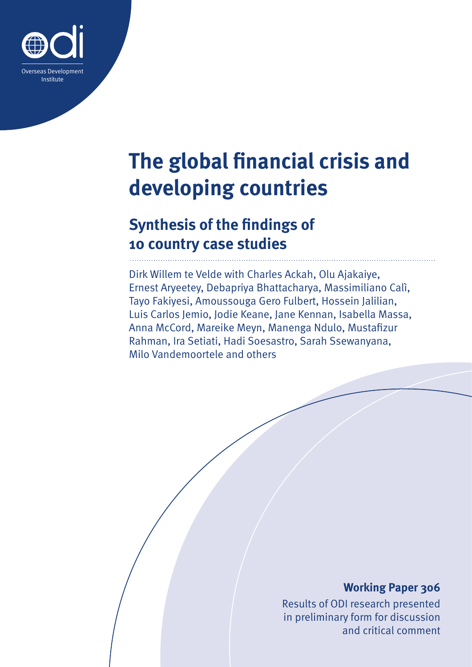

# **The global financial crisis and developing countries**

# **Synthesis of the findings of 10 country case studies**

Dirk Willem te Velde with Charles Ackah, Olu Ajakaiye, Ernest Aryeetey, Debapriya Bhattacharya, Massimiliano Calì, Tayo Fakiyesi, Amoussouga Gero Fulbert, Hossein Jalilian, Luis Carlos Jemio, Jodie Keane, Jane Kennan, Isabella Massa, Anna McCord, Mareike Meyn, Manenga Ndulo, Mustafizur Rahman, Ira Setiati, Hadi Soesastro, Sarah Ssewanyana, Milo Vandemoortele and others

### **Working Paper 306**

Results of ODI research presented in preliminary form for discussion and critical comment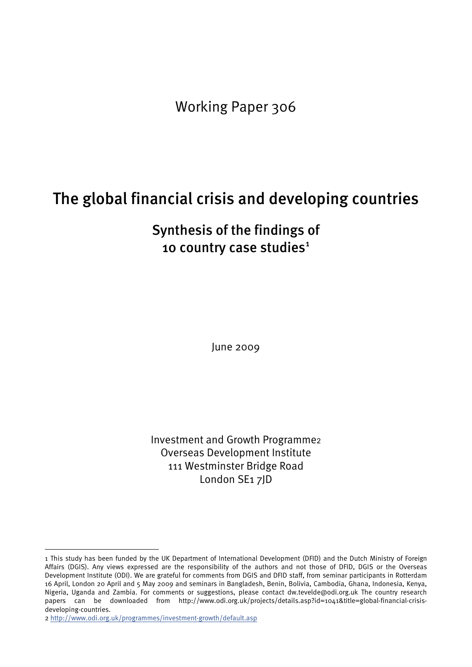Working Paper 306

# The global financial crisis and developing countries

# Synthesis of the findings of [1](#page-1-0)0 country case studies<sup>1</sup>

June 2009

Investment and Growth Programme[2](#page-1-1) Overseas Development Institute 111 Westminster Bridge Road London SE1 7JD

1

<span id="page-1-0"></span><sup>1</sup> This study has been funded by the UK Department of International Development (DFID) and the Dutch Ministry of Foreign Affairs (DGIS). Any views expressed are the responsibility of the authors and not those of DFID, DGIS or the Overseas Development Institute (ODI). We are grateful for comments from DGIS and DFID staff, from seminar participants in Rotterdam 16 April, London 20 April and 5 May 2009 and seminars in Bangladesh, Benin, Bolivia, Cambodia, Ghana, Indonesia, Kenya, Nigeria, Uganda and Zambia. For comments or suggestions, please contact [dw.tevelde@odi.org.uk](mailto:dw.tevelde@odi.org.uk) The country research papers can be downloaded from [http://www.odi.org.uk/projects/details.asp?id=1041&title=global-financial-crisis](http://www.odi.org.uk/projects/details.asp?id=1041&title=global-financial-crisis-developing-countries)[developing-countries.](http://www.odi.org.uk/projects/details.asp?id=1041&title=global-financial-crisis-developing-countries)

<span id="page-1-1"></span><sup>2</sup> <http://www.odi.org.uk/programmes/investment-growth/default.asp>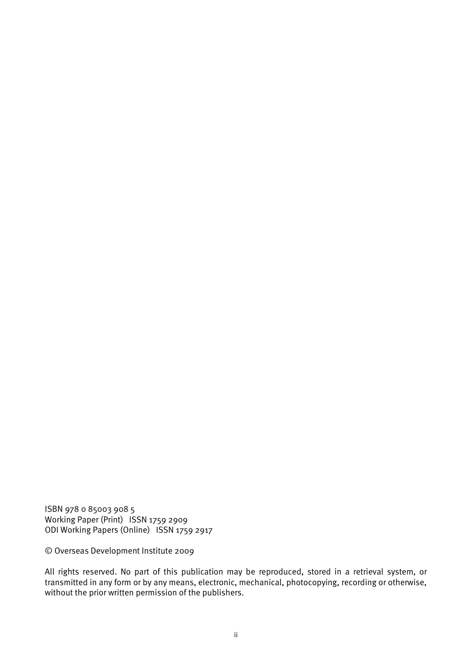ISBN 978 0 85003 908 5 Working Paper (Print) ISSN 1759 2909 ODI Working Papers (Online) ISSN 1759 2917

© Overseas Development Institute 2009

All rights reserved. No part of this publication may be reproduced, stored in a retrieval system, or transmitted in any form or by any means, electronic, mechanical, photocopying, recording or otherwise, without the prior written permission of the publishers.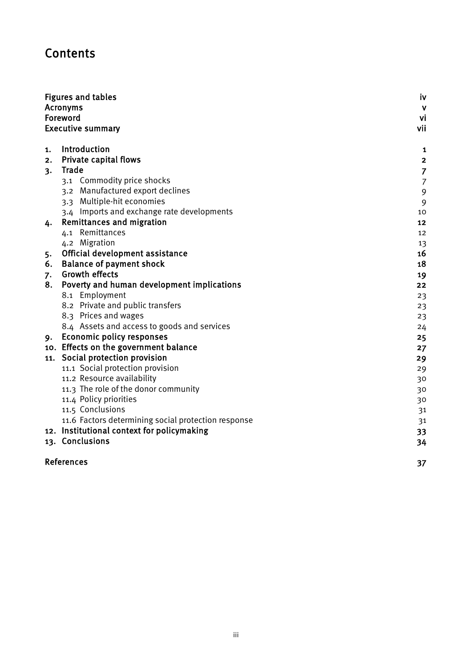# Contents

|     | <b>Figures and tables</b>                           | iv             |
|-----|-----------------------------------------------------|----------------|
|     | <b>Acronyms</b>                                     | $\mathbf{V}$   |
|     | Foreword                                            | vi             |
|     | <b>Executive summary</b>                            | vii            |
| 1.  | Introduction                                        | 1              |
| 2.  | Private capital flows                               | $\mathbf{2}$   |
| 3.  | Trade                                               | $\overline{7}$ |
|     | 3.1 Commodity price shocks                          | $\overline{7}$ |
|     | 3.2 Manufactured export declines                    | 9              |
|     | 3.3 Multiple-hit economies                          | 9              |
|     | 3.4 Imports and exchange rate developments          | 10             |
| 4.  | <b>Remittances and migration</b>                    | 12             |
|     | 4.1 Remittances                                     | 12             |
|     | 4.2 Migration                                       | 13             |
| 5.  | Official development assistance                     | 16             |
| 6.  | <b>Balance of payment shock</b>                     | 18             |
| 7.  | <b>Growth effects</b>                               | 19             |
| 8.  | Poverty and human development implications          | 22             |
|     | 8.1 Employment                                      | 23             |
|     | 8.2 Private and public transfers                    | 23             |
|     | 8.3 Prices and wages                                | 23             |
|     | 8.4 Assets and access to goods and services         | 24             |
| 9.  | <b>Economic policy responses</b>                    | 25             |
|     | 10. Effects on the government balance               | 27             |
| 11. | Social protection provision                         | 29             |
|     | 11.1 Social protection provision                    | 29             |
|     | 11.2 Resource availability                          | 30             |
|     | 11.3 The role of the donor community                | 30             |
|     | 11.4 Policy priorities                              | 30             |
|     | 11.5 Conclusions                                    | 31             |
|     | 11.6 Factors determining social protection response | 31             |
|     | 12. Institutional context for policymaking          | 33             |
|     | 13. Conclusions                                     | 34             |
|     | <b>References</b>                                   | 37             |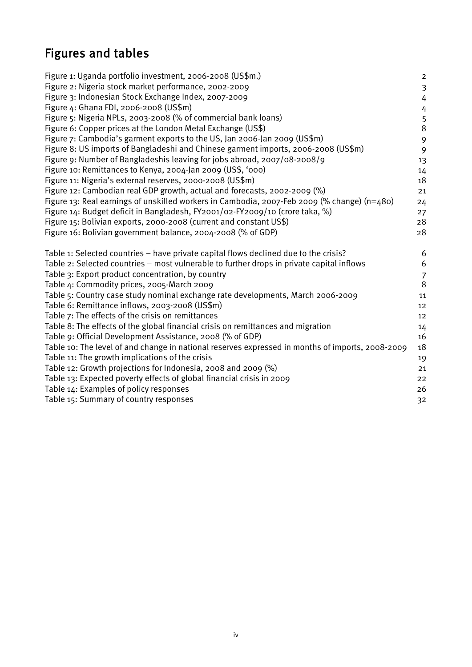# Figures and tables

| Figure 1: Uganda portfolio investment, 2006-2008 (US\$m.)                                        | $\overline{\mathbf{c}}$ |
|--------------------------------------------------------------------------------------------------|-------------------------|
| Figure 2: Nigeria stock market performance, 2002-2009                                            | $\overline{\mathbf{3}}$ |
| Figure 3: Indonesian Stock Exchange Index, 2007-2009                                             | 4                       |
| Figure 4: Ghana FDI, 2006-2008 (US\$m)                                                           | 4                       |
| Figure 5: Nigeria NPLs, 2003-2008 (% of commercial bank loans)                                   | 5                       |
| Figure 6: Copper prices at the London Metal Exchange (US\$)                                      | 8                       |
| Figure 7: Cambodia's garment exports to the US, Jan 2006-Jan 2009 (US\$m)                        | 9                       |
| Figure 8: US imports of Bangladeshi and Chinese garment imports, 2006-2008 (US\$m)               | 9                       |
| Figure 9: Number of Bangladeshis leaving for jobs abroad, 2007/08-2008/9                         | 13                      |
| Figure 10: Remittances to Kenya, 2004-Jan 2009 (US\$, '000)                                      | 14                      |
| Figure 11: Nigeria's external reserves, 2000-2008 (US\$m)                                        | 18                      |
| Figure 12: Cambodian real GDP growth, actual and forecasts, 2002-2009 (%)                        | 21                      |
| Figure 13: Real earnings of unskilled workers in Cambodia, 2007-Feb 2009 (% change) (n=480)      | 24                      |
| Figure 14: Budget deficit in Bangladesh, FY2001/02-FY2009/10 (crore taka, %)                     | 27                      |
| Figure 15: Bolivian exports, 2000-2008 (current and constant US\$)                               | 28                      |
| Figure 16: Bolivian government balance, 2004-2008 (% of GDP)                                     | 28                      |
| Table 1: Selected countries – have private capital flows declined due to the crisis?             | 6                       |
| Table 2: Selected countries - most vulnerable to further drops in private capital inflows        | 6                       |
| Table 3: Export product concentration, by country                                                | $\overline{7}$          |
| Table 4: Commodity prices, 2005-March 2009                                                       | 8                       |
| Table 5: Country case study nominal exchange rate developments, March 2006-2009                  | 11                      |
| Table 6: Remittance inflows, 2003-2008 (US\$m)                                                   | 12                      |
| Table 7: The effects of the crisis on remittances                                                | 12                      |
| Table 8: The effects of the global financial crisis on remittances and migration                 | 14                      |
| Table 9: Official Development Assistance, 2008 (% of GDP)                                        | 16                      |
| Table 10: The level of and change in national reserves expressed in months of imports, 2008-2009 | 18                      |
| Table 11: The growth implications of the crisis                                                  | 19                      |
| Table 12: Growth projections for Indonesia, 2008 and 2009 (%)                                    | 21                      |
| Table 13: Expected poverty effects of global financial crisis in 2009                            |                         |
|                                                                                                  | 22                      |
| Table 14: Examples of policy responses                                                           | 26                      |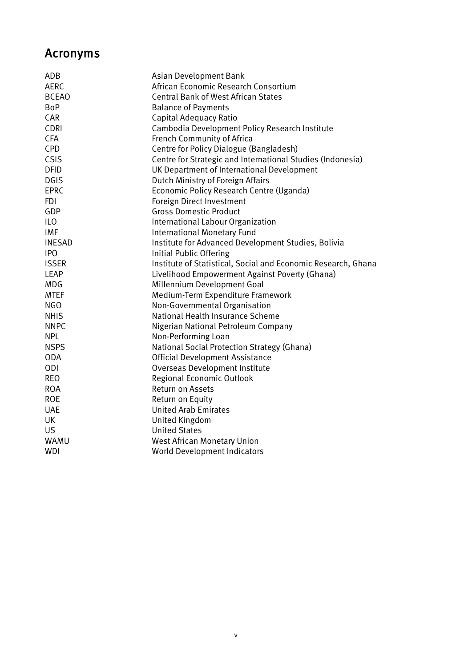# Acronyms

| ADB           | Asian Development Bank                                        |
|---------------|---------------------------------------------------------------|
| <b>AERC</b>   | African Economic Research Consortium                          |
| <b>BCEAO</b>  | <b>Central Bank of West African States</b>                    |
| <b>BoP</b>    | <b>Balance of Payments</b>                                    |
| CAR           | Capital Adequacy Ratio                                        |
| <b>CDRI</b>   | Cambodia Development Policy Research Institute                |
| <b>CFA</b>    | French Community of Africa                                    |
| <b>CPD</b>    | Centre for Policy Dialogue (Bangladesh)                       |
| CSIS          | Centre for Strategic and International Studies (Indonesia)    |
| <b>DFID</b>   | UK Department of International Development                    |
| <b>DGIS</b>   | Dutch Ministry of Foreign Affairs                             |
| <b>EPRC</b>   | Economic Policy Research Centre (Uganda)                      |
| <b>FDI</b>    | Foreign Direct Investment                                     |
| GDP           | <b>Gross Domestic Product</b>                                 |
| <b>ILO</b>    | International Labour Organization                             |
| <b>IMF</b>    | International Monetary Fund                                   |
| <b>INESAD</b> | Institute for Advanced Development Studies, Bolivia           |
| <b>IPO</b>    | Initial Public Offering                                       |
| <b>ISSER</b>  | Institute of Statistical, Social and Economic Research, Ghana |
| <b>LEAP</b>   | Livelihood Empowerment Against Poverty (Ghana)                |
| <b>MDG</b>    | Millennium Development Goal                                   |
| <b>MTEF</b>   | Medium-Term Expenditure Framework                             |
| <b>NGO</b>    | Non-Governmental Organisation                                 |
| <b>NHIS</b>   | National Health Insurance Scheme                              |
| <b>NNPC</b>   | Nigerian National Petroleum Company                           |
| <b>NPL</b>    | Non-Performing Loan                                           |
| <b>NSPS</b>   | National Social Protection Strategy (Ghana)                   |
| <b>ODA</b>    | <b>Official Development Assistance</b>                        |
| ODI           | Overseas Development Institute                                |
| <b>REO</b>    | Regional Economic Outlook                                     |
| <b>ROA</b>    | Return on Assets                                              |
| <b>ROE</b>    | Return on Equity                                              |
| <b>UAE</b>    | <b>United Arab Emirates</b>                                   |
| UK            | United Kingdom                                                |
| <b>US</b>     | <b>United States</b>                                          |
| WAMU          | <b>West African Monetary Union</b>                            |
| <b>WDI</b>    | World Development Indicators                                  |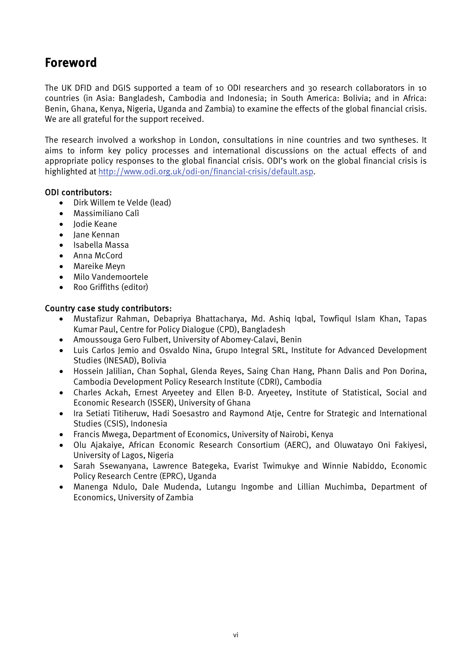# <span id="page-6-0"></span>Foreword

The UK DFID and DGIS supported a team of 10 ODI researchers and 30 research collaborators in 10 countries (in Asia: Bangladesh, Cambodia and Indonesia; in South America: Bolivia; and in Africa: Benin, Ghana, Kenya, Nigeria, Uganda and Zambia) to examine the effects of the global financial crisis. We are all grateful for the support received.

The research involved a workshop in London, consultations in nine countries and two syntheses. It aims to inform key policy processes and international discussions on the actual effects of and appropriate policy responses to the global financial crisis. ODI's work on the global financial crisis is highlighted at [http://www.odi.org.uk/odi-on/financial-crisis/default.asp.](http://www.odi.org.uk/odi-on/financial-crisis/default.asp)

#### ODI contributors:

- Dirk Willem te Velde (lead)
- Massimiliano Calì
- Jodie Keane
- Jane Kennan
- Isabella Massa
- Anna McCord
- Mareike Meyn
- Milo Vandemoortele
- Roo Griffiths (editor)

#### Country case study contributors:

- Mustafizur Rahman, Debapriya Bhattacharya, Md. Ashiq Iqbal, Towfiqul Islam Khan, Tapas Kumar Paul, Centre for Policy Dialogue (CPD), Bangladesh
- Amoussouga Gero Fulbert, University of Abomey-Calavi, Benin
- Luis Carlos Jemio and Osvaldo Nina, Grupo Integral SRL, Institute for Advanced Development Studies (INESAD), Bolivia
- Hossein Jalilian, Chan Sophal, Glenda Reyes, Saing Chan Hang, Phann Dalis and Pon Dorina, Cambodia Development Policy Research Institute (CDRI), Cambodia
- Charles Ackah, Ernest Aryeetey and Ellen B-D. Aryeetey, Institute of Statistical, Social and Economic Research (ISSER), University of Ghana
- Ira Setiati Titiheruw, Hadi Soesastro and Raymond Atje, Centre for Strategic and International Studies (CSIS), Indonesia
- Francis Mwega, Department of Economics, University of Nairobi, Kenya
- Olu Ajakaiye, African Economic Research Consortium (AERC), and Oluwatayo Oni Fakiyesi, University of Lagos, Nigeria
- Sarah Ssewanyana, Lawrence Bategeka, Evarist Twimukye and Winnie Nabiddo, Economic Policy Research Centre (EPRC), Uganda
- Manenga Ndulo, Dale Mudenda, Lutangu Ingombe and Lillian Muchimba, Department of Economics, University of Zambia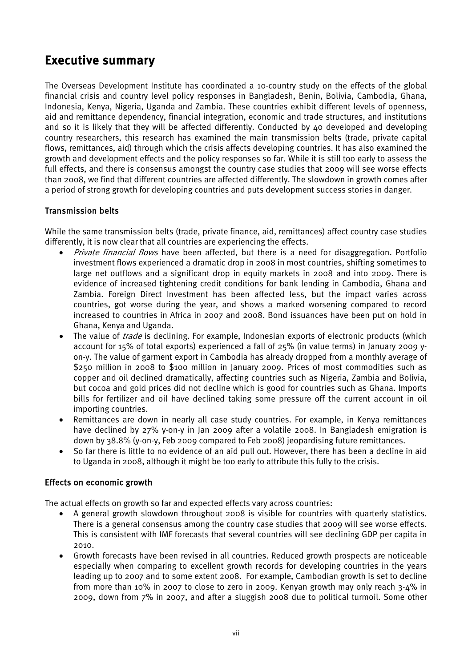# <span id="page-7-0"></span>Executive summary

The Overseas Development Institute has coordinated a 10-country study on the effects of the global financial crisis and country level policy responses in Bangladesh, Benin, Bolivia, Cambodia, Ghana, Indonesia, Kenya, Nigeria, Uganda and Zambia. These countries exhibit different levels of openness, aid and remittance dependency, financial integration, economic and trade structures, and institutions and so it is likely that they will be affected differently. Conducted by 40 developed and developing country researchers, this research has examined the main transmission belts (trade, private capital flows, remittances, aid) through which the crisis affects developing countries. It has also examined the growth and development effects and the policy responses so far. While it is still too early to assess the full effects, and there is consensus amongst the country case studies that 2009 will see worse effects than 2008, we find that different countries are affected differently. The slowdown in growth comes after a period of strong growth for developing countries and puts development success stories in danger.

#### Transmission belts

While the same transmission belts (trade, private finance, aid, remittances) affect country case studies differently, it is now clear that all countries are experiencing the effects.

- *Private financial flows* have been affected, but there is a need for disaggregation. Portfolio investment flows experienced a dramatic drop in 2008 in most countries, shifting sometimes to large net outflows and a significant drop in equity markets in 2008 and into 2009. There is evidence of increased tightening credit conditions for bank lending in Cambodia, Ghana and Zambia. Foreign Direct Investment has been affected less, but the impact varies across countries, got worse during the year, and shows a marked worsening compared to record increased to countries in Africa in 2007 and 2008. Bond issuances have been put on hold in Ghana, Kenya and Uganda.
- The value of *trade* is declining. For example, Indonesian exports of electronic products (which account for 15% of total exports) experienced a fall of 25% (in value terms) in January 2009 yon-y. The value of garment export in Cambodia has already dropped from a monthly average of \$250 million in 2008 to \$100 million in January 2009. Prices of most commodities such as copper and oil declined dramatically, affecting countries such as Nigeria, Zambia and Bolivia, but cocoa and gold prices did not decline which is good for countries such as Ghana. Imports bills for fertilizer and oil have declined taking some pressure off the current account in oil importing countries.
- Remittances are down in nearly all case study countries. For example, in Kenya remittances have declined by 27% y-on-y in Jan 2009 after a volatile 2008. In Bangladesh emigration is down by 38.8% (y-on-y, Feb 2009 compared to Feb 2008) jeopardising future remittances.
- So far there is little to no evidence of an aid pull out. However, there has been a decline in aid to Uganda in 2008, although it might be too early to attribute this fully to the crisis.

#### Effects on economic growth

The actual effects on growth so far and expected effects vary across countries:

- A general growth slowdown throughout 2008 is visible for countries with quarterly statistics. There is a general consensus among the country case studies that 2009 will see worse effects. This is consistent with IMF forecasts that several countries will see declining GDP per capita in 2010.
- Growth forecasts have been revised in all countries. Reduced growth prospects are noticeable especially when comparing to excellent growth records for developing countries in the years leading up to 2007 and to some extent 2008. For example, Cambodian growth is set to decline from more than 10% in 2007 to close to zero in 2009. Kenyan growth may only reach 3-4% in 2009, down from 7% in 2007, and after a sluggish 2008 due to political turmoil. Some other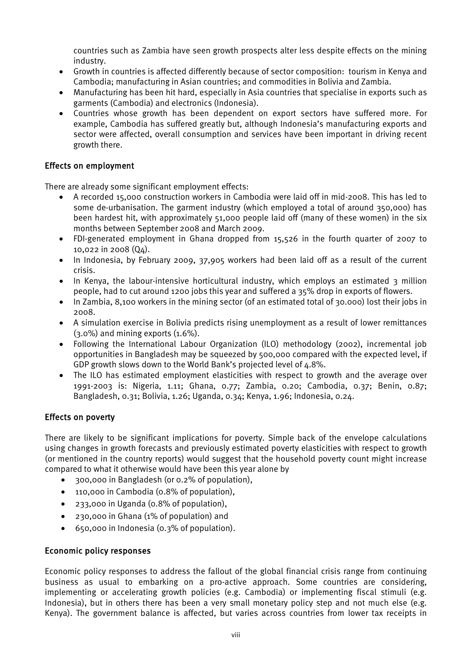countries such as Zambia have seen growth prospects alter less despite effects on the mining industry.

- Growth in countries is affected differently because of sector composition: tourism in Kenya and Cambodia; manufacturing in Asian countries; and commodities in Bolivia and Zambia.
- Manufacturing has been hit hard, especially in Asia countries that specialise in exports such as garments (Cambodia) and electronics (Indonesia).
- Countries whose growth has been dependent on export sectors have suffered more. For example, Cambodia has suffered greatly but, although Indonesia's manufacturing exports and sector were affected, overall consumption and services have been important in driving recent growth there.

#### Effects on employment

There are already some significant employment effects:

- A recorded 15,000 construction workers in Cambodia were laid off in mid-2008. This has led to some de-urbanisation. The garment industry (which employed a total of around 350,000) has been hardest hit, with approximately 51,000 people laid off (many of these women) in the six months between September 2008 and March 2009.
- FDI-generated employment in Ghana dropped from 15,526 in the fourth quarter of 2007 to 10,022 in 2008 (Q4).
- In Indonesia, by February 2009, 37,905 workers had been laid off as a result of the current crisis.
- In Kenya, the labour-intensive horticultural industry, which employs an estimated 3 million people, had to cut around 1200 jobs this year and suffered a 35% drop in exports of flowers.
- In Zambia, 8,100 workers in the mining sector (of an estimated total of 30,000) lost their jobs in 2008.
- A simulation exercise in Bolivia predicts rising unemployment as a result of lower remittances (3.0%) and mining exports (1.6%).
- Following the International Labour Organization (ILO) methodology (2002), incremental job opportunities in Bangladesh may be squeezed by 500,000 compared with the expected level, if GDP growth slows down to the World Bank's projected level of 4.8%.
- The ILO has estimated employment elasticities with respect to growth and the average over 1991-2003 is: Nigeria, 1.11; Ghana, 0.77; Zambia, 0.20; Cambodia, 0.37; Benin, 0.87; Bangladesh, 0.31; Bolivia, 1.26; Uganda, 0.34; Kenya, 1.96; Indonesia, 0.24.

#### Effects on poverty

There are likely to be significant implications for poverty. Simple back of the envelope calculations using changes in growth forecasts and previously estimated poverty elasticities with respect to growth (or mentioned in the country reports) would suggest that the household poverty count might increase compared to what it otherwise would have been this year alone by

- 300,000 in Bangladesh (or 0.2% of population),
- 110,000 in Cambodia (0.8% of population),
- 233,000 in Uganda (0.8% of population),
- 230,000 in Ghana (1% of population) and
- 650,000 in Indonesia (0.3% of population).

#### Economic policy responses

Economic policy responses to address the fallout of the global financial crisis range from continuing business as usual to embarking on a pro-active approach. Some countries are considering, implementing or accelerating growth policies (e.g. Cambodia) or implementing fiscal stimuli (e.g. Indonesia), but in others there has been a very small monetary policy step and not much else (e.g. Kenya). The government balance is affected, but varies across countries from lower tax receipts in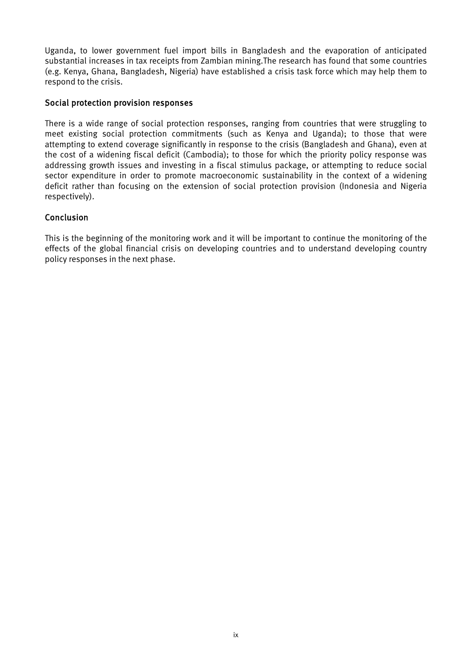Uganda, to lower government fuel import bills in Bangladesh and the evaporation of anticipated substantial increases in tax receipts from Zambian mining.The research has found that some countries (e.g. Kenya, Ghana, Bangladesh, Nigeria) have established a crisis task force which may help them to respond to the crisis.

#### Social protection provision responses

There is a wide range of social protection responses, ranging from countries that were struggling to meet existing social protection commitments (such as Kenya and Uganda); to those that were attempting to extend coverage significantly in response to the crisis (Bangladesh and Ghana), even at the cost of a widening fiscal deficit (Cambodia); to those for which the priority policy response was addressing growth issues and investing in a fiscal stimulus package, or attempting to reduce social sector expenditure in order to promote macroeconomic sustainability in the context of a widening deficit rather than focusing on the extension of social protection provision (Indonesia and Nigeria respectively).

#### Conclusion

This is the beginning of the monitoring work and it will be important to continue the monitoring of the effects of the global financial crisis on developing countries and to understand developing country policy responses in the next phase.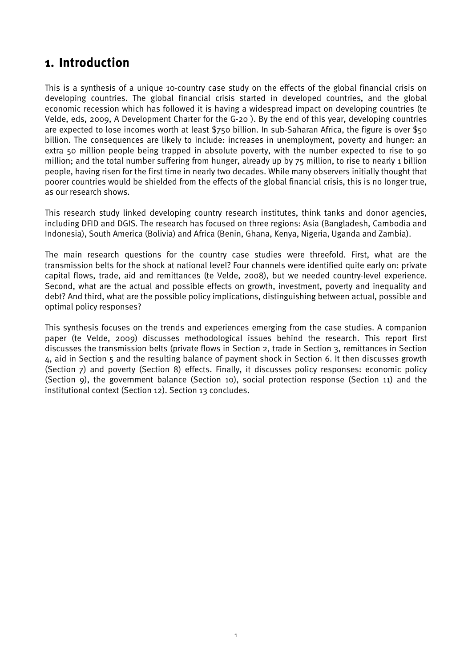## <span id="page-10-0"></span>1. Introduction

This is a synthesis of a unique 10-country case study on the effects of the global financial crisis on developing countries. The global financial crisis started in developed countries, and the global economic recession which has followed it is having a widespread impact on developing countries (te Velde, eds, 2009, A Development Charter for the G-20 ). By the end of this year, developing countries are expected to lose incomes worth at least \$750 billion. In sub-Saharan Africa, the figure is over \$50 billion. The consequences are likely to include: increases in unemployment, poverty and hunger: an extra 50 million people being trapped in absolute poverty, with the number expected to rise to 90 million; and the total number suffering from hunger, already up by 75 million, to rise to nearly 1 billion people, having risen for the first time in nearly two decades. While many observers initially thought that poorer countries would be shielded from the effects of the global financial crisis, this is no longer true, as our research shows.

This research study linked developing country research institutes, think tanks and donor agencies, including DFID and DGIS. The research has focused on three regions: Asia (Bangladesh, Cambodia and Indonesia), South America (Bolivia) and Africa (Benin, Ghana, Kenya, Nigeria, Uganda and Zambia).

The main research questions for the country case studies were threefold. First, what are the transmission belts for the shock at national level? Four channels were identified quite early on: private capital flows, trade, aid and remittances (te Velde, 2008), but we needed country-level experience. Second, what are the actual and possible effects on growth, investment, poverty and inequality and debt? And third, what are the possible policy implications, distinguishing between actual, possible and optimal policy responses?

This synthesis focuses on the trends and experiences emerging from the case studies. A companion paper (te Velde, 2009) discusses methodological issues behind the research. This report first discusses the transmission belts (private flows in Section 2, trade in Section 3, remittances in Section 4, aid in Section 5 and the resulting balance of payment shock in Section 6. It then discusses growth (Section 7) and poverty (Section 8) effects. Finally, it discusses policy responses: economic policy (Section 9), the government balance (Section 10), social protection response (Section 11) and the institutional context (Section 12). Section 13 concludes.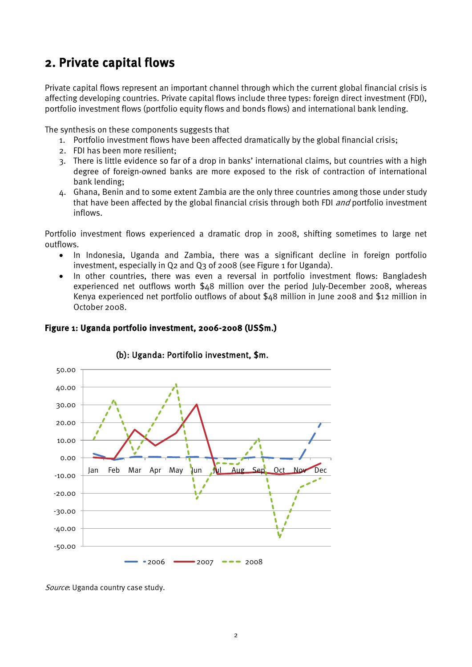# <span id="page-11-0"></span>2. Private capital flows

Private capital flows represent an important channel through which the current global financial crisis is affecting developing countries. Private capital flows include three types: foreign direct investment (FDI), portfolio investment flows (portfolio equity flows and bonds flows) and international bank lending.

The synthesis on these components suggests that

- 1. Portfolio investment flows have been affected dramatically by the global financial crisis;
- 2. FDI has been more resilient;
- 3. There is little evidence so far of a drop in banks' international claims, but countries with a high degree of foreign-owned banks are more exposed to the risk of contraction of international bank lending;
- 4. Ghana, Benin and to some extent Zambia are the only three countries among those under study that have been affected by the global financial crisis through both FDI *and* portfolio investment inflows.

Portfolio investment flows experienced a dramatic drop in 2008, shifting sometimes to large net outflows.

- In Indonesia, Uganda and Zambia, there was a significant decline in foreign portfolio investment, especially in Q2 and Q3 of 2008 (see Figure 1 for Uganda).
- In other countries, there was even a reversal in portfolio investment flows: Bangladesh experienced net outflows worth \$48 million over the period July-December 2008, whereas Kenya experienced net portfolio outflows of about \$48 million in June 2008 and \$12 million in October 2008.

<span id="page-11-1"></span>



#### (b): Uganda: Portifolio investment, \$m.

Source: Uganda country case study.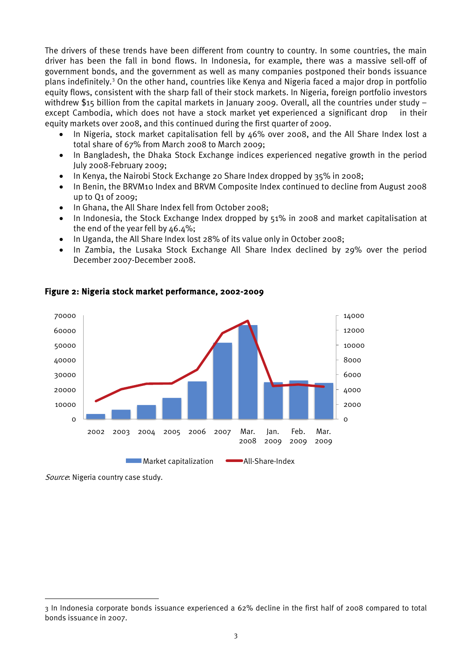The drivers of these trends have been different from country to country. In some countries, the main driver has been the fall in bond flows. In Indonesia, for example, there was a massive sell-off of government bonds, and the government as well as many companies postponed their bonds issuance plans indefinitely.<sup>[3](#page-12-2)</sup> On the other hand, countries like Kenya and Nigeria faced a major drop in portfolio equity flows, consistent with the sharp fall of their stock markets. In Nigeria, foreign portfolio investors withdrew \$15 billion from the capital markets in January 2009. Overall, all the countries under study – except Cambodia, which does not have a stock market yet experienced a significant drop in their equity markets over 2008, and this continued during the first quarter of 2009.

- In Nigeria, stock market capitalisation fell by 46% over 2008, and the All Share Index lost a total share of 67% from March 2008 to March 2009;
- In Bangladesh, the Dhaka Stock Exchange indices experienced negative growth in the period July 2008-February 2009;
- In Kenya, the Nairobi Stock Exchange 20 Share Index dropped by 35% in 2008;
- In Benin, the BRVM10 Index and BRVM Composite Index continued to decline from August 2008 up to Q1 of 2009;
- In Ghana, the All Share Index fell from October 2008;
- In Indonesia, the Stock Exchange Index dropped by 51% in 2008 and market capitalisation at the end of the year fell by 46.4%;
- In Uganda, the All Share Index lost 28% of its value only in October 2008;
- In Zambia, the Lusaka Stock Exchange All Share Index declined by 29% over the period December 2007-December 2008.



#### <span id="page-12-0"></span>Figure 2: Nigeria stock market performance, 2002-2009

Source: Nigeria country case study.

<span id="page-12-1"></span>**.** 

<span id="page-12-2"></span><sup>3</sup> In Indonesia corporate bonds issuance experienced a 62% decline in the first half of 2008 compared to total bonds issuance in 2007.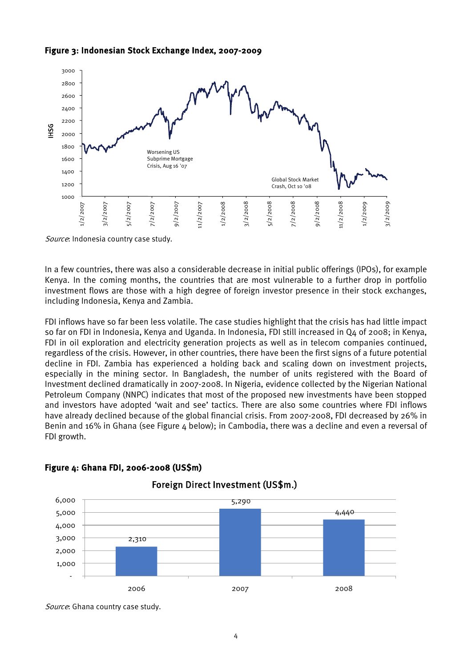



Source: Indonesia country case study.

In a few countries, there was also a considerable decrease in initial public offerings (IPOs), for example Kenya. In the coming months, the countries that are most vulnerable to a further drop in portfolio investment flows are those with a high degree of foreign investor presence in their stock exchanges, including Indonesia, Kenya and Zambia.

FDI inflows have so far been less volatile. The case studies highlight that the crisis has had little impact so far on FDI in Indonesia, Kenya and Uganda. In Indonesia, FDI still increased in Q4 of 2008; in Kenya, FDI in oil exploration and electricity generation projects as well as in telecom companies continued, regardless of the crisis. However, in other countries, there have been the first signs of a future potential decline in FDI. Zambia has experienced a holding back and scaling down on investment projects, especially in the mining sector. In Bangladesh, the number of units registered with the Board of Investment declined dramatically in 2007-2008. In Nigeria, evidence collected by the Nigerian National Petroleum Company (NNPC) indicates that most of the proposed new investments have been stopped and investors have adopted 'wait and see' tactics. There are also some countries where FDI inflows have already declined because of the global financial crisis. From 2007-2008, FDI decreased by 26% in Benin and 16% in Ghana (see Figure  $4$  below); in Cambodia, there was a decline and even a reversal of FDI growth.



#### <span id="page-13-0"></span>Figure 4: Ghana FDI, 2006-2008 (US\$m)

Source: Ghana country case study.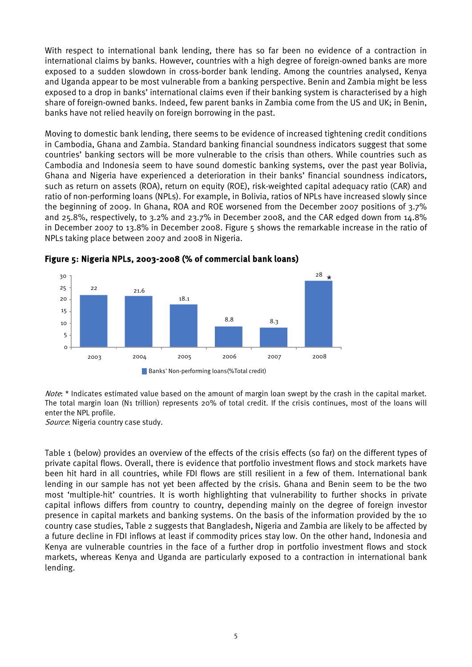With respect to international bank lending, there has so far been no evidence of a contraction in international claims by banks. However, countries with a high degree of foreign-owned banks are more exposed to a sudden slowdown in cross-border bank lending. Among the countries analysed, Kenya and Uganda appear to be most vulnerable from a banking perspective. Benin and Zambia might be less exposed to a drop in banks' international claims even if their banking system is characterised by a high share of foreign-owned banks. Indeed, few parent banks in Zambia come from the US and UK; in Benin, banks have not relied heavily on foreign borrowing in the past.

Moving to domestic bank lending, there seems to be evidence of increased tightening credit conditions in Cambodia, Ghana and Zambia. Standard banking financial soundness indicators suggest that some countries' banking sectors will be more vulnerable to the crisis than others. While countries such as Cambodia and Indonesia seem to have sound domestic banking systems, over the past year Bolivia, Ghana and Nigeria have experienced a deterioration in their banks' financial soundness indicators, such as return on assets (ROA), return on equity (ROE), risk-weighted capital adequacy ratio (CAR) and ratio of non-performing loans (NPLs). For example, in Bolivia, ratios of NPLs have increased slowly since the beginning of 2009. In Ghana, ROA and ROE worsened from the December 2007 positions of 3.7% and 25.8%, respectively, to 3.2% and 23.7% in December 2008, and the CAR edged down from 14.8% in December 2007 to 13.8% in December 2008. Figure 5 shows the remarkable increase in the ratio of NPLs taking place between 2007 and 2008 in Nigeria.



<span id="page-14-0"></span>

Note: \* Indicates estimated value based on the amount of margin loan swept by the crash in the capital market. The total margin loan (N1 trillion) represents 20% of total credit. If the crisis continues, most of the loans will enter the NPL profile.

Source: Nigeria country case study.

Table 1 (below) provides an overview of the effects of the crisis effects (so far) on the different types of private capital flows. Overall, there is evidence that portfolio investment flows and stock markets have been hit hard in all countries, while FDI flows are still resilient in a few of them. International bank lending in our sample has not yet been affected by the crisis. Ghana and Benin seem to be the two most 'multiple-hit' countries. It is worth highlighting that vulnerability to further shocks in private capital inflows differs from country to country, depending mainly on the degree of foreign investor presence in capital markets and banking systems. On the basis of the information provided by the 10 country case studies, Table 2 suggests that Bangladesh, Nigeria and Zambia are likely to be affected by a future decline in FDI inflows at least if commodity prices stay low. On the other hand, Indonesia and Kenya are vulnerable countries in the face of a further drop in portfolio investment flows and stock markets, whereas Kenya and Uganda are particularly exposed to a contraction in international bank lending.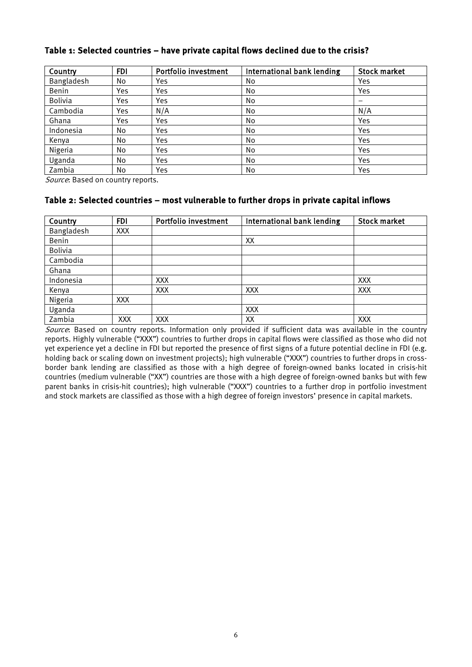| Country        | <b>FDI</b> | <b>Portfolio investment</b> | International bank lending | <b>Stock market</b>      |
|----------------|------------|-----------------------------|----------------------------|--------------------------|
| Bangladesh     | No         | Yes                         | No                         | Yes                      |
| Benin          | Yes        | Yes                         | No                         | Yes                      |
| <b>Bolivia</b> | Yes        | Yes                         | No.                        | $\overline{\phantom{0}}$ |
| Cambodia       | Yes        | N/A                         | No                         | N/A                      |
| Ghana          | Yes        | Yes                         | No.                        | Yes                      |
| Indonesia      | No         | Yes                         | No                         | Yes                      |
| Kenya          | No         | Yes                         | No                         | Yes                      |
| Nigeria        | No         | Yes                         | No.                        | Yes                      |
| Uganda         | No         | Yes                         | No                         | Yes                      |
| Zambia         | No         | Yes                         | No                         | Yes                      |

#### <span id="page-15-0"></span>Table 1: Selected countries – have private capital flows declined due to the crisis?

Source: Based on country reports.

#### <span id="page-15-1"></span>Table 2: Selected countries – most vulnerable to further drops in private capital inflows

| Country        | <b>FDI</b> | Portfolio investment | International bank lending | <b>Stock market</b> |
|----------------|------------|----------------------|----------------------------|---------------------|
| Bangladesh     | <b>XXX</b> |                      |                            |                     |
| Benin          |            |                      | XХ                         |                     |
| <b>Bolivia</b> |            |                      |                            |                     |
| Cambodia       |            |                      |                            |                     |
| Ghana          |            |                      |                            |                     |
| Indonesia      |            | XXX                  |                            | <b>XXX</b>          |
| Kenya          |            | <b>XXX</b>           | <b>XXX</b>                 | <b>XXX</b>          |
| Nigeria        | <b>XXX</b> |                      |                            |                     |
| Uganda         |            |                      | <b>XXX</b>                 |                     |
| Zambia         | XXX        | XXX                  | XX                         | XXX                 |

Source: Based on country reports. Information only provided if sufficient data was available in the country reports. Highly vulnerable ("XXX") countries to further drops in capital flows were classified as those who did not yet experience yet a decline in FDI but reported the presence of first signs of a future potential decline in FDI (e.g. holding back or scaling down on investment projects); high vulnerable ("XXX") countries to further drops in crossborder bank lending are classified as those with a high degree of foreign-owned banks located in crisis-hit countries (medium vulnerable ("XX") countries are those with a high degree of foreign-owned banks but with few parent banks in crisis-hit countries); high vulnerable ("XXX") countries to a further drop in portfolio investment and stock markets are classified as those with a high degree of foreign investors' presence in capital markets.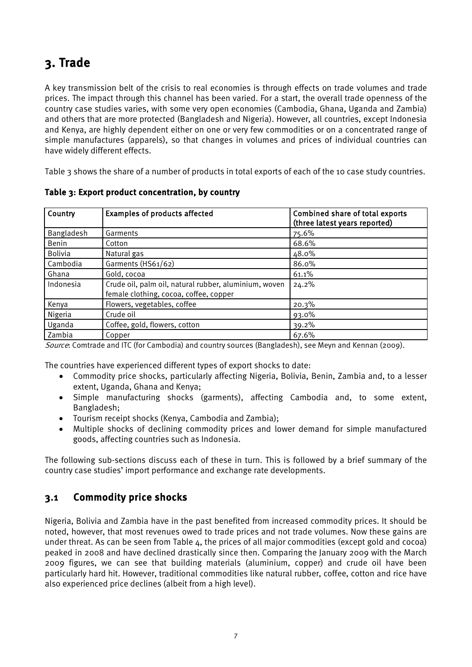# <span id="page-16-0"></span>3. Trade

A key transmission belt of the crisis to real economies is through effects on trade volumes and trade prices. The impact through this channel has been varied. For a start, the overall trade openness of the country case studies varies, with some very open economies (Cambodia, Ghana, Uganda and Zambia) and others that are more protected (Bangladesh and Nigeria). However, all countries, except Indonesia and Kenya, are highly dependent either on one or very few commodities or on a concentrated range of simple manufactures (apparels), so that changes in volumes and prices of individual countries can have widely different effects.

Table 3 shows the share of a number of products in total exports of each of the 10 case study countries.

| Country        | <b>Examples of products affected</b>                                                            | Combined share of total exports<br>(three latest years reported) |
|----------------|-------------------------------------------------------------------------------------------------|------------------------------------------------------------------|
| Bangladesh     | Garments                                                                                        | 75.6%                                                            |
| Benin          | Cotton                                                                                          | 68.6%                                                            |
| <b>Bolivia</b> | Natural gas                                                                                     | 48.0%                                                            |
| Cambodia       | Garments (HS61/62)                                                                              | 86.0%                                                            |
| Ghana          | Gold, cocoa                                                                                     | 61.1%                                                            |
| Indonesia      | Crude oil, palm oil, natural rubber, aluminium, woven<br>female clothing, cocoa, coffee, copper | 24.2%                                                            |
| Kenya          | Flowers, vegetables, coffee                                                                     | 20.3%                                                            |
| Nigeria        | Crude oil                                                                                       | 93.0%                                                            |
| Uganda         | Coffee, gold, flowers, cotton                                                                   | 39.2%                                                            |
| Zambia         | Copper                                                                                          | 67.6%                                                            |

<span id="page-16-2"></span>Table 3: Export product concentration, by country

Source: Comtrade and ITC (for Cambodia) and country sources (Bangladesh), see Meyn and Kennan (2009).

The countries have experienced different types of export shocks to date:

- Commodity price shocks, particularly affecting Nigeria, Bolivia, Benin, Zambia and, to a lesser extent, Uganda, Ghana and Kenya;
- Simple manufacturing shocks (garments), affecting Cambodia and, to some extent, Bangladesh;
- Tourism receipt shocks (Kenya, Cambodia and Zambia);
- Multiple shocks of declining commodity prices and lower demand for simple manufactured goods, affecting countries such as Indonesia.

The following sub-sections discuss each of these in turn. This is followed by a brief summary of the country case studies' import performance and exchange rate developments.

### <span id="page-16-1"></span>3.1 Commodity price shocks

Nigeria, Bolivia and Zambia have in the past benefited from increased commodity prices. It should be noted, however, that most revenues owed to trade prices and not trade volumes. Now these gains are under threat. As can be seen from Table  $\Delta$ , the prices of all major commodities (except gold and cocoa) peaked in 2008 and have declined drastically since then. Comparing the January 2009 with the March 2009 figures, we can see that building materials (aluminium, copper) and crude oil have been particularly hard hit. However, traditional commodities like natural rubber, coffee, cotton and rice have also experienced price declines (albeit from a high level).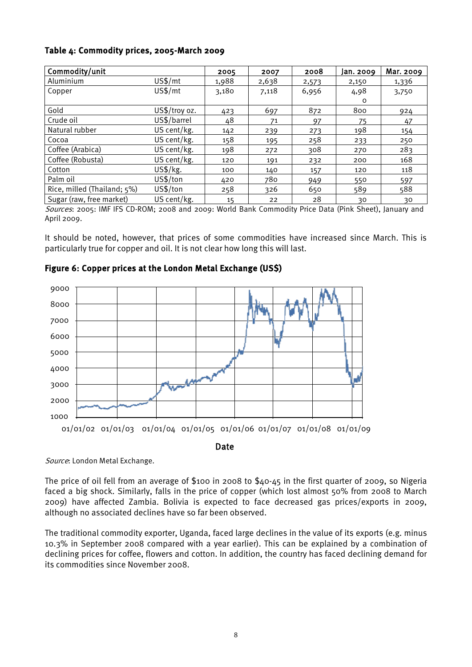#### <span id="page-17-1"></span>Table 4: Commodity prices, 2005-March 2009

| Commodity/unit              |               | 2005  | 2007  | 2008  | Jan. 2009 | Mar. 2009 |
|-----------------------------|---------------|-------|-------|-------|-----------|-----------|
| Aluminium                   | US\$/mt       | 1,988 | 2,638 | 2,573 | 2,150     | 1,336     |
| Copper                      | US\$/mt       | 3,180 | 7,118 | 6,956 | 4,98      | 3,750     |
|                             |               |       |       |       | O         |           |
| Gold                        | US\$/troy oz. | 423   | 697   | 872   | 800       | 924       |
| Crude oil                   | US\$/barrel   | 48    | 71    | 97    | 75        | 47        |
| Natural rubber              | US cent/kg.   | 142   | 239   | 273   | 198       | 154       |
| Cocoa                       | US cent/kg.   | 158   | 195   | 258   | 233       | 250       |
| Coffee (Arabica)            | US cent/kg.   | 198   | 272   | 308   | 270       | 283       |
| Coffee (Robusta)            | US cent/kg.   | 120   | 191   | 232   | 200       | 168       |
| Cotton                      | US\$/kg.      | 100   | 140   | 157   | 120       | 118       |
| Palm oil                    | US\$/ton      | 420   | 780   | 949   | 550       | 597       |
| Rice, milled (Thailand; 5%) | US\$/ton      | 258   | 326   | 650   | 589       | 588       |
| Sugar (raw, free market)    | US cent/kg.   | 15    | 22    | 28    | 30        | 30        |

Sources: 2005: IMF IFS CD-ROM; 2008 and 2009: World Bank Commodity Price Data (Pink Sheet), January and April 2009.

It should be noted, however, that prices of some commodities have increased since March. This is particularly true for copper and oil. It is not clear how long this will last.

<span id="page-17-0"></span>



Date

Source: London Metal Exchange.

The price of oil fell from an average of \$100 in 2008 to \$40-45 in the first quarter of 2009, so Nigeria faced a big shock. Similarly, falls in the price of copper (which lost almost 50% from 2008 to March 2009) have affected Zambia. Bolivia is expected to face decreased gas prices/exports in 2009, although no associated declines have so far been observed.

The traditional commodity exporter, Uganda, faced large declines in the value of its exports (e.g. minus 10.3% in September 2008 compared with a year earlier). This can be explained by a combination of declining prices for coffee, flowers and cotton. In addition, the country has faced declining demand for its commodities since November 2008.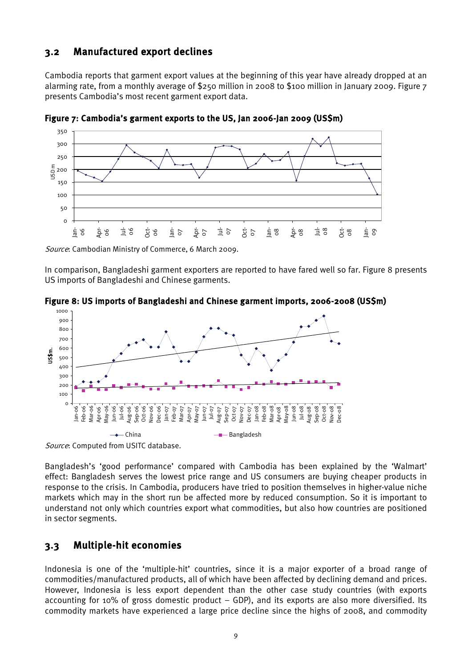### <span id="page-18-0"></span>3.2 Manufactured export declines

Cambodia reports that garment export values at the beginning of this year have already dropped at an alarming rate, from a monthly average of \$250 million in 2008 to \$100 million in January 2009. Figure 7 presents Cambodia's most recent garment export data.



<span id="page-18-2"></span>Figure 7: Cambodia's garment exports to the US, Jan 2006-Jan 2009 (US\$m)

Source: Cambodian Ministry of Commerce, 6 March 2009.

In comparison, Bangladeshi garment exporters are reported to have fared well so far. Figure 8 presents US imports of Bangladeshi and Chinese garments.

<span id="page-18-3"></span>



Source: Computed from USITC database.

Bangladesh's 'good performance' compared with Cambodia has been explained by the 'Walmart' effect: Bangladesh serves the lowest price range and US consumers are buying cheaper products in response to the crisis. In Cambodia, producers have tried to position themselves in higher-value niche markets which may in the short run be affected more by reduced consumption. So it is important to understand not only which countries export what commodities, but also how countries are positioned in sector segments.

### <span id="page-18-1"></span>3.3 Multiple-hit economies

Indonesia is one of the 'multiple-hit' countries, since it is a major exporter of a broad range of commodities/manufactured products, all of which have been affected by declining demand and prices. However, Indonesia is less export dependent than the other case study countries (with exports accounting for 10% of gross domestic product  $-$  GDP), and its exports are also more diversified. Its commodity markets have experienced a large price decline since the highs of 2008, and commodity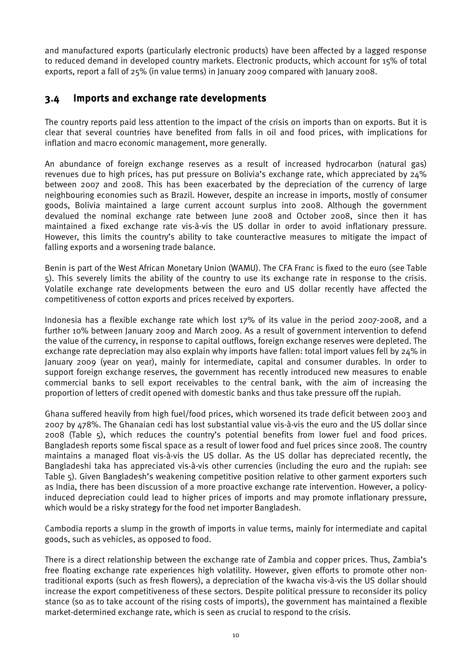and manufactured exports (particularly electronic products) have been affected by a lagged response to reduced demand in developed country markets. Electronic products, which account for 15% of total exports, report a fall of 25% (in value terms) in January 2009 compared with January 2008.

### <span id="page-19-0"></span>3.4 Imports and exchange rate developments

The country reports paid less attention to the impact of the crisis on imports than on exports. But it is clear that several countries have benefited from falls in oil and food prices, with implications for inflation and macro economic management, more generally.

An abundance of foreign exchange reserves as a result of increased hydrocarbon (natural gas) revenues due to high prices, has put pressure on Bolivia's exchange rate, which appreciated by 24% between 2007 and 2008. This has been exacerbated by the depreciation of the currency of large neighbouring economies such as Brazil. However, despite an increase in imports, mostly of consumer goods, Bolivia maintained a large current account surplus into 2008. Although the government devalued the nominal exchange rate between June 2008 and October 2008, since then it has maintained a fixed exchange rate vis-à-vis the US dollar in order to avoid inflationary pressure. However, this limits the country's ability to take counteractive measures to mitigate the impact of falling exports and a worsening trade balance.

Benin is part of the West African Monetary Union (WAMU). The CFA Franc is fixed to the euro (see Table 5). This severely limits the ability of the country to use its exchange rate in response to the crisis. Volatile exchange rate developments between the euro and US dollar recently have affected the competitiveness of cotton exports and prices received by exporters.

Indonesia has a flexible exchange rate which lost 17% of its value in the period 2007-2008, and a further 10% between January 2009 and March 2009. As a result of government intervention to defend the value of the currency, in response to capital outflows, foreign exchange reserves were depleted. The exchange rate depreciation may also explain why imports have fallen: total import values fell by 24% in January 2009 (year on year), mainly for intermediate, capital and consumer durables. In order to support foreign exchange reserves, the government has recently introduced new measures to enable commercial banks to sell export receivables to the central bank, with the aim of increasing the proportion of letters of credit opened with domestic banks and thus take pressure off the rupiah.

Ghana suffered heavily from high fuel/food prices, which worsened its trade deficit between 2003 and 2007 by 478%. The Ghanaian cedi has lost substantial value vis-à-vis the euro and the US dollar since 2008 (Table 5), which reduces the country's potential benefits from lower fuel and food prices. Bangladesh reports some fiscal space as a result of lower food and fuel prices since 2008. The country maintains a managed float vis-à-vis the US dollar. As the US dollar has depreciated recently, the Bangladeshi taka has appreciated vis-à-vis other currencies (including the euro and the rupiah: see Table 5). Given Bangladesh's weakening competitive position relative to other garment exporters such as India, there has been discussion of a more proactive exchange rate intervention. However, a policyinduced depreciation could lead to higher prices of imports and may promote inflationary pressure, which would be a risky strategy for the food net importer Bangladesh.

Cambodia reports a slump in the growth of imports in value terms, mainly for intermediate and capital goods, such as vehicles, as opposed to food.

There is a direct relationship between the exchange rate of Zambia and copper prices. Thus, Zambia's free floating exchange rate experiences high volatility. However, given efforts to promote other nontraditional exports (such as fresh flowers), a depreciation of the kwacha vis-à-vis the US dollar should increase the export competitiveness of these sectors. Despite political pressure to reconsider its policy stance (so as to take account of the rising costs of imports), the government has maintained a flexible market-determined exchange rate, which is seen as crucial to respond to the crisis.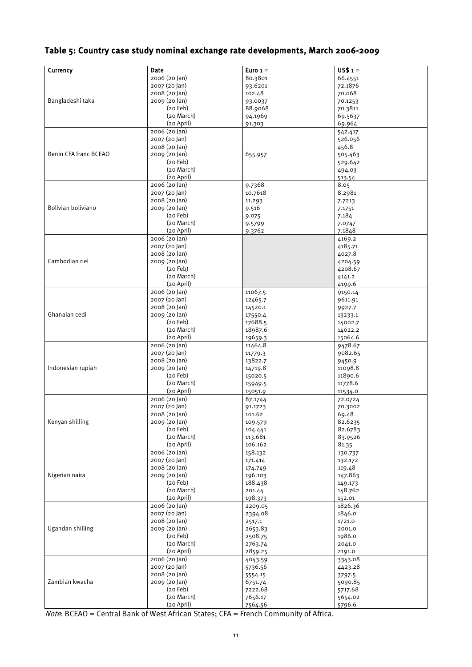### <span id="page-20-0"></span>Table 5: Country case study nominal exchange rate developments, March 2006-2009

| Currency              | Date                           | Euro <sub>1</sub>  | $US$1 =$           |
|-----------------------|--------------------------------|--------------------|--------------------|
|                       | 2006 (20 Jan)                  | 80.3801            | 66.4551            |
|                       | 2007 (20 Jan)                  | 93.6201            | 72.1876            |
|                       | 2008 (20 Jan)                  | 102.48             | 70.068             |
| Bangladeshi taka      | 2009 (20 Jan)                  | 93.0037            | 70.1253            |
|                       | $(20$ Feb)                     | 88.9068            | 70.3811            |
|                       | (20 March)                     | 94.1969            | 69.5637            |
|                       | (20 April)                     | 91.303             | 69.964             |
|                       | 2006 (20 Jan)                  |                    | 542.417            |
|                       | 2007 (20 Jan)                  |                    | 526.056            |
|                       | 2008 (20 Jan)                  |                    | 456.8              |
| Benin CFA franc BCEAO | 2009 (20 Jan)                  | 655.957            | 505.463            |
|                       | $(20$ Feb)<br>(20 March)       |                    | 529.642            |
|                       | (20 April)                     |                    | 494.03             |
|                       | 2006 (20 Jan)                  | 9.7368             | 513.54<br>8.05     |
|                       | 2007 (20 Jan)                  | 10.7618            | 8.2981             |
|                       | 2008 (20 Jan)                  | 11.293             | 7.7213             |
| Bolivian boliviano    | 2009 (20 Jan)                  | 9.516              | 7.1751             |
|                       | $(20$ Feb)                     | 9.075              | 7.184              |
|                       | (20 March)                     | 9.5799             | 7.0747             |
|                       | (20 April)                     | 9.3762             | 7.1848             |
|                       | 2006 (20 Jan)                  |                    | 4169.2             |
|                       | 2007 (20 Jan)                  |                    | 4185.71            |
|                       | 2008 (20 Jan)                  |                    | 4027.8             |
| Cambodian riel        | 2009 (20 Jan)                  |                    | 4204.59            |
|                       | $(20$ Feb)                     |                    | 4208.67            |
|                       | (20 March)                     |                    | 4141.2             |
|                       | (20 April)                     |                    | 4199.6             |
|                       | 2006 (20 Jan)                  | 11067.5            | 9150.14            |
|                       | 2007 (20 Jan)                  | 12465.7            | 9611.91            |
|                       | 2008 (20 Jan)                  | 14520.1            | 9927.7             |
| Ghanaian cedi         | 2009 (20 Jan)                  | 17550.4            | 13233.1            |
|                       | $(20$ Feb)                     | 17688.5            | 14002.7            |
|                       | (20 March)<br>(20 April)       | 18987.6<br>19659.3 | 14022.2<br>15064.6 |
|                       | $2006(20)$ an)                 | 11464.8            | 9478.67            |
|                       | 2007 (20 Jan)                  | 11779.3            | 9082.65            |
|                       | 2008 (20 Jan)                  | 13822.7            | 9450.9             |
| Indonesian rupiah     | 2009 (20 Jan)                  | 14719.8            | 11098.8            |
|                       | $(20$ Feb)                     | 15020.5            | 11890.6            |
|                       | (20 March)                     | 15949.5            | 11778.6            |
|                       | (20 April)                     | 15051.9            | 11534.0            |
|                       | 2006 (20 Jan)                  | 87.1744            | 72.0724            |
|                       | 2007 (20 Jan)                  | 91.1723            | 70.3002            |
|                       | 2008 (20 Jan)                  | 101.62             | 69.48              |
| Kenyan shilling       | 2009 (20 Jan)                  | 109.579            | 82.6235            |
|                       | $(20$ Feb)                     | 104.441            | 82.6783            |
|                       | (20 March)                     | 113.681            | 83.9526            |
|                       | (20 April)<br>2006 (20 Jan)    | 106.162<br>158.132 | 81.35<br>130.737   |
|                       | 2007 (20 Jan)                  | 171.414            | 132.172            |
|                       | 2008 (20 Jan)                  | 174.749            | 119.48             |
| Nigerian naira        | 2009 (20 Jan)                  | 196.103            | 147.863            |
|                       | $(20$ Feb)                     | 188.438            | 149.173            |
|                       | (20 March)                     | 201.44             | 148.762            |
|                       | (20 April)                     | 198.373            | 152.01             |
|                       | 2006 (20 Jan)                  | 2209.05            | 1826.36            |
|                       | 2007 (20 Jan)                  | 2394.08            | 1846.0             |
|                       | 2008 (20 Jan)                  | 2517.1             | 1721.0             |
| Ugandan shilling      | 2009 (20 Jan)                  | 2653.83            | 2001.0             |
|                       | $(20$ Feb)                     | 2508.75            | 1986.0             |
|                       | (20 March)                     | 2763.74            | 2041.0             |
|                       | (20 April)                     | 2859.25            | 2191.0             |
|                       | 2006 (20 Jan)                  | 4043.59            | 3343.08            |
|                       | 2007 (20 Jan)<br>2008 (20 Jan) | 5736.56            | 4423.28            |
| Zambian kwacha        | 2009 (20 Jan)                  | 5554.15<br>6751.74 | 3797.5<br>5090.85  |
|                       | $(20$ Feb)                     | 7222.68            | 5717.68            |
|                       | (20 March)                     | 7656.17            | 5654.02            |
|                       | (20 April)                     | 7564.56            | 5796.6             |

Note: BCEAO = Central Bank of West African States; CFA = French Community of Africa.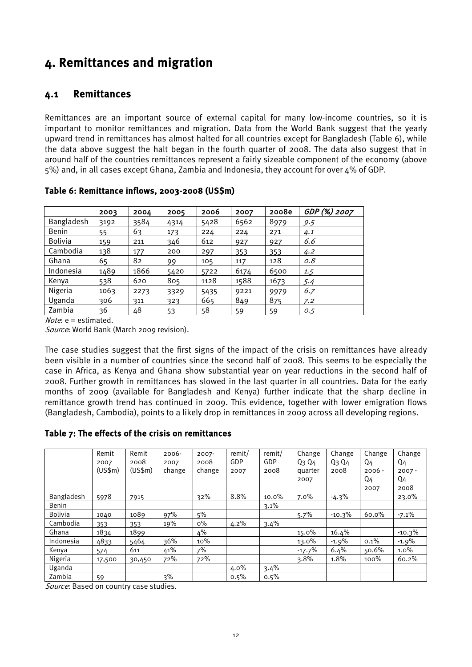# <span id="page-21-0"></span>4. Remittances and migration

### <span id="page-21-1"></span>4.1 Remittances

Remittances are an important source of external capital for many low-income countries, so it is important to monitor remittances and migration. Data from the World Bank suggest that the yearly upward trend in remittances has almost halted for all countries except for Bangladesh (Table 6), while the data above suggest the halt began in the fourth quarter of 2008. The data also suggest that in around half of the countries remittances represent a fairly sizeable component of the economy (above 5%) and, in all cases except Ghana, Zambia and Indonesia, they account for over 4% of GDP.

|                | 2003 | 2004 | 2005 | 2006 | 2007 | 2008e | GDP (%) 2007 |
|----------------|------|------|------|------|------|-------|--------------|
| Bangladesh     | 3192 | 3584 | 4314 | 5428 | 6562 | 8979  | 9.5          |
| <b>Benin</b>   | 55   | 63   | 173  | 224  | 224  | 271   | 4.1          |
| <b>Bolivia</b> | 159  | 211  | 346  | 612  | 927  | 927   | 6.6          |
| Cambodia       | 138  | 177  | 200  | 297  | 353  | 353   | 4.2          |
| Ghana          | 65   | 82   | 99   | 105  | 117  | 128   | 0.8          |
| Indonesia      | 1489 | 1866 | 5420 | 5722 | 6174 | 6500  | 1.5          |
| Kenya          | 538  | 620  | 805  | 1128 | 1588 | 1673  | 5.4          |
| Nigeria        | 1063 | 2273 | 3329 | 5435 | 9221 | 9979  | 6.7          |
| Uganda         | 306  | 311  | 323  | 665  | 849  | 875   | 7.2          |
| Zambia         | 36   | 48   | 53   | 58   | 59   | 59    | 0.5          |

<span id="page-21-2"></span>Table 6: Remittance inflows, 2003-2008 (US\$m)

*Note*:  $e =$  estimated.

Source: World Bank (March 2009 revision).

The case studies suggest that the first signs of the impact of the crisis on remittances have already been visible in a number of countries since the second half of 2008. This seems to be especially the case in Africa, as Kenya and Ghana show substantial year on year reductions in the second half of 2008. Further growth in remittances has slowed in the last quarter in all countries. Data for the early months of 2009 (available for Bangladesh and Kenya) further indicate that the sharp decline in remittance growth trend has continued in 2009. This evidence, together with lower emigration flows (Bangladesh, Cambodia), points to a likely drop in remittances in 2009 across all developing regions.

#### <span id="page-21-3"></span>Table 7: The effects of the crisis on remittances

|              | Remit        | Remit   | $2006 -$ | $2007 -$ | remit/  | remit/  | Change   | Change        | Change         | Change   |
|--------------|--------------|---------|----------|----------|---------|---------|----------|---------------|----------------|----------|
|              | 2007         | 2008    | 2007     | 2008     | GDP     | GDP     | Q3 Q4    | $Q_3$ $Q_4$   | Q4             | Q4       |
|              | (US\$m)      | (US\$m) | change   | change   | 2007    | 2008    | quarter  | 2008          | $2006 -$       | $2007 -$ |
|              |              |         |          |          |         |         | 2007     |               | Q <sub>4</sub> | Q4       |
|              |              |         |          |          |         |         |          |               | 2007           | 2008     |
| Bangladesh   | <u>597</u> 8 | 7915    |          | 32%      | 8.8%    | 10.0%   | 7.0%     | <u>-4.3</u> % |                | 23.0%    |
| <b>Benin</b> |              |         |          |          |         | $3.1\%$ |          |               |                |          |
| Bolivia      | 1040         | 1089    | 97%      | 5%       |         |         | 5.7%     | $-10.3%$      | 60.0%          | $-7.1%$  |
| Cambodia     | 353          | 353     | 19%      | $0\%$    | $4.2\%$ | 3.4%    |          |               |                |          |
| Ghana        | 1834         | 1899    |          | 4%       |         |         | 15.0%    | 16.4%         |                | $-10.3%$ |
| Indonesia    | 4833         | 5464    | 36%      | 10%      |         |         | 13.0%    | $-1.9%$       | 0.1%           | $-1.9%$  |
| Kenya        | 574          | 611     | 41%      | 7%       |         |         | $-17.7%$ | 6.4%          | 50.6%          | $1.0\%$  |
| Nigeria      | 17,500       | 30,450  | 72%      | 72%      |         |         | $3.8\%$  | 1.8%          | 100%           | 60.2%    |
| Uganda       |              |         |          |          | $4.0\%$ | 3.4%    |          |               |                |          |
| Zambia       | 59           |         | 3%       |          | 0.5%    | 0.5%    |          |               |                |          |

Source: Based on country case studies.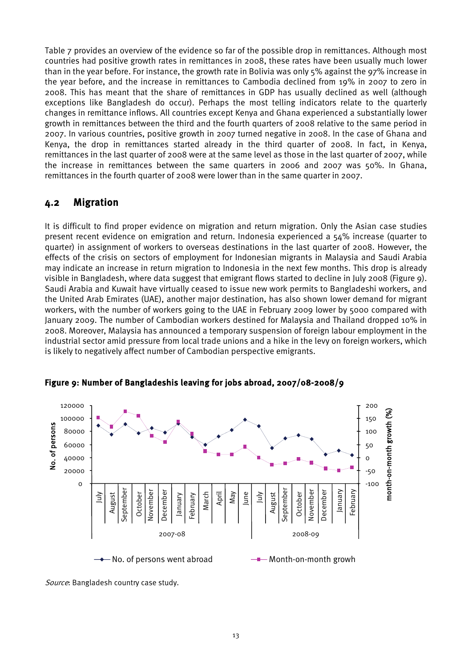Table 7 provides an overview of the evidence so far of the possible drop in remittances. Although most countries had positive growth rates in remittances in 2008, these rates have been usually much lower than in the year before. For instance, the growth rate in Bolivia was only 5% against the 97% increase in the year before, and the increase in remittances to Cambodia declined from 19% in 2007 to zero in 2008. This has meant that the share of remittances in GDP has usually declined as well (although exceptions like Bangladesh do occur). Perhaps the most telling indicators relate to the quarterly changes in remittance inflows. All countries except Kenya and Ghana experienced a substantially lower growth in remittances between the third and the fourth quarters of 2008 relative to the same period in 2007. In various countries, positive growth in 2007 turned negative in 2008. In the case of Ghana and Kenya, the drop in remittances started already in the third quarter of 2008. In fact, in Kenya, remittances in the last quarter of 2008 were at the same level as those in the last quarter of 2007, while the increase in remittances between the same quarters in 2006 and 2007 was 50%. In Ghana, remittances in the fourth quarter of 2008 were lower than in the same quarter in 2007.

### <span id="page-22-0"></span>4.2 Migration

It is difficult to find proper evidence on migration and return migration. Only the Asian case studies present recent evidence on emigration and return. Indonesia experienced a 54% increase (quarter to quarter) in assignment of workers to overseas destinations in the last quarter of 2008. However, the effects of the crisis on sectors of employment for Indonesian migrants in Malaysia and Saudi Arabia may indicate an increase in return migration to Indonesia in the next few months. This drop is already visible in Bangladesh, where data suggest that emigrant flows started to decline in July 2008 (Figure 9). Saudi Arabia and Kuwait have virtually ceased to issue new work permits to Bangladeshi workers, and the United Arab Emirates (UAE), another major destination, has also shown lower demand for migrant workers, with the number of workers going to the UAE in February 2009 lower by 5000 compared with January 2009. The number of Cambodian workers destined for Malaysia and Thailand dropped 10% in 2008. Moreover, Malaysia has announced a temporary suspension of foreign labour employment in the industrial sector amid pressure from local trade unions and a hike in the levy on foreign workers, which is likely to negatively affect number of Cambodian perspective emigrants.



<span id="page-22-1"></span>Figure 9: Number of Bangladeshis leaving for jobs abroad, 2007/08-2008/9

Source: Bangladesh country case study.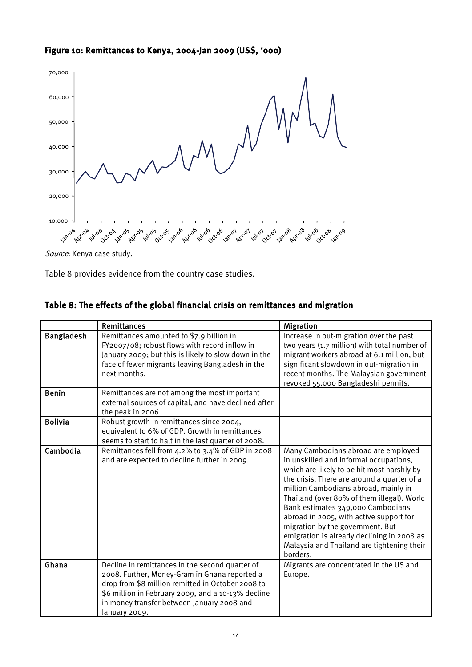#### <span id="page-23-0"></span>Figure 10: Remittances to Kenya, 2004-Jan 2009 (US\$, '000)



Source: Kenya case study.

Table 8 provides evidence from the country case studies.

#### <span id="page-23-1"></span>Table 8: The effects of the global financial crisis on remittances and migration

|                   | <b>Remittances</b>                                                                                                                                                                                                                                                         | <b>Migration</b>                                                                                                                                                                                                                                                                                                                                                                                                                                                                             |
|-------------------|----------------------------------------------------------------------------------------------------------------------------------------------------------------------------------------------------------------------------------------------------------------------------|----------------------------------------------------------------------------------------------------------------------------------------------------------------------------------------------------------------------------------------------------------------------------------------------------------------------------------------------------------------------------------------------------------------------------------------------------------------------------------------------|
| <b>Bangladesh</b> | Remittances amounted to \$7.9 billion in<br>FY2007/08; robust flows with record inflow in<br>January 2009; but this is likely to slow down in the<br>face of fewer migrants leaving Bangladesh in the<br>next months.                                                      | Increase in out-migration over the past<br>two years (1.7 million) with total number of<br>migrant workers abroad at 6.1 million, but<br>significant slowdown in out-migration in<br>recent months. The Malaysian government<br>revoked 55,000 Bangladeshi permits.                                                                                                                                                                                                                          |
| <b>Benin</b>      | Remittances are not among the most important<br>external sources of capital, and have declined after<br>the peak in 2006.                                                                                                                                                  |                                                                                                                                                                                                                                                                                                                                                                                                                                                                                              |
| <b>Bolivia</b>    | Robust growth in remittances since 2004,<br>equivalent to 6% of GDP. Growth in remittances<br>seems to start to halt in the last quarter of 2008.                                                                                                                          |                                                                                                                                                                                                                                                                                                                                                                                                                                                                                              |
| Cambodia          | Remittances fell from 4.2% to 3.4% of GDP in 2008<br>and are expected to decline further in 2009.                                                                                                                                                                          | Many Cambodians abroad are employed<br>in unskilled and informal occupations,<br>which are likely to be hit most harshly by<br>the crisis. There are around a quarter of a<br>million Cambodians abroad, mainly in<br>Thailand (over 80% of them illegal). World<br>Bank estimates 349,000 Cambodians<br>abroad in 2005, with active support for<br>migration by the government. But<br>emigration is already declining in 2008 as<br>Malaysia and Thailand are tightening their<br>borders. |
| Ghana             | Decline in remittances in the second quarter of<br>2008. Further, Money-Gram in Ghana reported a<br>drop from \$8 million remitted in October 2008 to<br>\$6 million in February 2009, and a 10-13% decline<br>in money transfer between January 2008 and<br>January 2009. | Migrants are concentrated in the US and<br>Europe.                                                                                                                                                                                                                                                                                                                                                                                                                                           |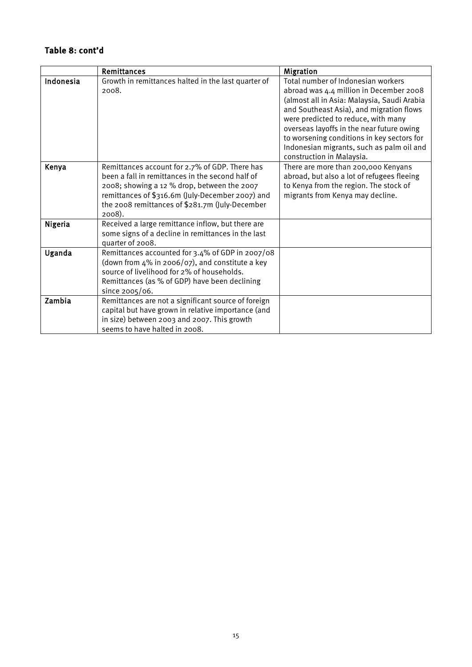### Table 8: cont'd

|           | Remittances                                                                                                                                                                                                                                                        | Migration                                                                                                                                                                                                                                                                                                                                                                            |
|-----------|--------------------------------------------------------------------------------------------------------------------------------------------------------------------------------------------------------------------------------------------------------------------|--------------------------------------------------------------------------------------------------------------------------------------------------------------------------------------------------------------------------------------------------------------------------------------------------------------------------------------------------------------------------------------|
| Indonesia | Growth in remittances halted in the last quarter of<br>2008.                                                                                                                                                                                                       | Total number of Indonesian workers<br>abroad was 4.4 million in December 2008<br>(almost all in Asia: Malaysia, Saudi Arabia<br>and Southeast Asia), and migration flows<br>were predicted to reduce, with many<br>overseas layoffs in the near future owing<br>to worsening conditions in key sectors for<br>Indonesian migrants, such as palm oil and<br>construction in Malaysia. |
| Kenya     | Remittances account for 2.7% of GDP. There has<br>been a fall in remittances in the second half of<br>2008; showing a 12 % drop, between the 2007<br>remittances of \$316.6m (July-December 2007) and<br>the 2008 remittances of \$281.7m (July-December<br>2008). | There are more than 200,000 Kenyans<br>abroad, but also a lot of refugees fleeing<br>to Kenya from the region. The stock of<br>migrants from Kenya may decline.                                                                                                                                                                                                                      |
| Nigeria   | Received a large remittance inflow, but there are<br>some signs of a decline in remittances in the last<br>quarter of 2008.                                                                                                                                        |                                                                                                                                                                                                                                                                                                                                                                                      |
| Uganda    | Remittances accounted for 3.4% of GDP in 2007/08<br>(down from 4% in 2006/07), and constitute a key<br>source of livelihood for 2% of households.<br>Remittances (as % of GDP) have been declining<br>since 2005/06.                                               |                                                                                                                                                                                                                                                                                                                                                                                      |
| Zambia    | Remittances are not a significant source of foreign<br>capital but have grown in relative importance (and<br>in size) between 2003 and 2007. This growth<br>seems to have halted in 2008.                                                                          |                                                                                                                                                                                                                                                                                                                                                                                      |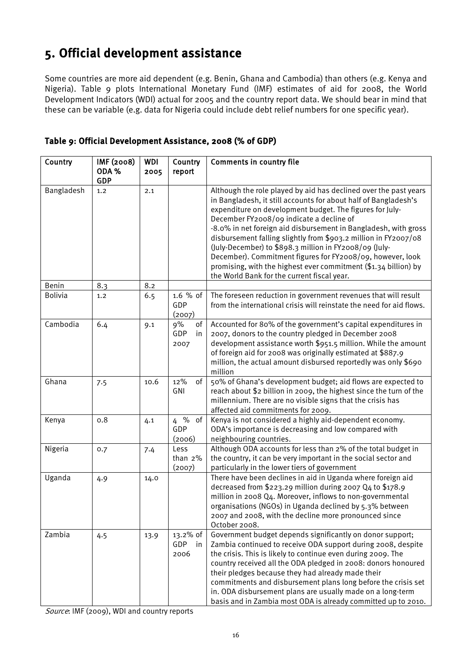# <span id="page-25-0"></span>5. Official development assistance

Some countries are more aid dependent (e.g. Benin, Ghana and Cambodia) than others (e.g. Kenya and Nigeria). Table 9 plots International Monetary Fund (IMF) estimates of aid for 2008, the World Development Indicators (WDI) actual for 2005 and the country report data. We should bear in mind that these can be variable (e.g. data for Nigeria could include debt relief numbers for one specific year).

| Country        | IMF (2008)<br>ODA%<br><b>GDP</b> | WDI<br>2005 | Country<br>report             | <b>Comments in country file</b>                                                                                                                                                                                                                                                                                                                                                                                                                                                                                                                                                                                             |
|----------------|----------------------------------|-------------|-------------------------------|-----------------------------------------------------------------------------------------------------------------------------------------------------------------------------------------------------------------------------------------------------------------------------------------------------------------------------------------------------------------------------------------------------------------------------------------------------------------------------------------------------------------------------------------------------------------------------------------------------------------------------|
| Bangladesh     | 1,2                              | 2.1         |                               | Although the role played by aid has declined over the past years<br>in Bangladesh, it still accounts for about half of Bangladesh's<br>expenditure on development budget. The figures for July-<br>December FY2008/09 indicate a decline of<br>-8.0% in net foreign aid disbursement in Bangladesh, with gross<br>disbursement falling slightly from \$903.2 million in FY2007/08<br>(July-December) to \$898.3 million in FY2008/09 (July-<br>December). Commitment figures for FY2008/09, however, look<br>promising, with the highest ever commitment (\$1.34 billion) by<br>the World Bank for the current fiscal year. |
| Benin          | 8.3                              | 8.2         |                               |                                                                                                                                                                                                                                                                                                                                                                                                                                                                                                                                                                                                                             |
| <b>Bolivia</b> | 1.2                              | 6.5         | 1.6 % of<br>GDP<br>(2007)     | The foreseen reduction in government revenues that will result<br>from the international crisis will reinstate the need for aid flows.                                                                                                                                                                                                                                                                                                                                                                                                                                                                                      |
| Cambodia       | 6.4                              | 9.1         | 9%<br>of<br>GDP<br>in<br>2007 | Accounted for 80% of the government's capital expenditures in<br>2007, donors to the country pledged in December 2008<br>development assistance worth \$951.5 million. While the amount<br>of foreign aid for 2008 was originally estimated at \$887.9<br>million, the actual amount disbursed reportedly was only \$690<br>million                                                                                                                                                                                                                                                                                         |
| Ghana          | 7.5                              | 10.6        | of<br>12%<br>GNI              | 50% of Ghana's development budget; aid flows are expected to<br>reach about \$2 billion in 2009, the highest since the turn of the<br>millennium. There are no visible signs that the crisis has<br>affected aid commitments for 2009.                                                                                                                                                                                                                                                                                                                                                                                      |
| Kenya          | 0.8                              | 4.1         | $4\%$<br>of<br>GDP<br>(2006)  | Kenya is not considered a highly aid-dependent economy.<br>ODA's importance is decreasing and low compared with<br>neighbouring countries.                                                                                                                                                                                                                                                                                                                                                                                                                                                                                  |
| Nigeria        | 0.7                              | 7.4         | Less<br>than 2%<br>(2007)     | Although ODA accounts for less than 2% of the total budget in<br>the country, it can be very important in the social sector and<br>particularly in the lower tiers of government                                                                                                                                                                                                                                                                                                                                                                                                                                            |
| Uganda         | 4.9                              | 14.0        |                               | There have been declines in aid in Uganda where foreign aid<br>decreased from \$223.29 million during 2007 Q4 to \$178.9<br>million in 2008 Q4. Moreover, inflows to non-governmental<br>organisations (NGOs) in Uganda declined by 5.3% between<br>2007 and 2008, with the decline more pronounced since<br>October 2008.                                                                                                                                                                                                                                                                                                  |
| Zambia         | 4.5                              | 13.9        | 13.2% of<br>GDP<br>in<br>2006 | Government budget depends significantly on donor support;<br>Zambia continued to receive ODA support during 2008, despite<br>the crisis. This is likely to continue even during 2009. The<br>country received all the ODA pledged in 2008: donors honoured<br>their pledges because they had already made their<br>commitments and disbursement plans long before the crisis set<br>in. ODA disbursement plans are usually made on a long-term<br>basis and in Zambia most ODA is already committed up to 2010.                                                                                                             |

#### <span id="page-25-1"></span>Table 9: Official Development Assistance, 2008 (% of GDP)

Source: IMF (2009), WDI and country reports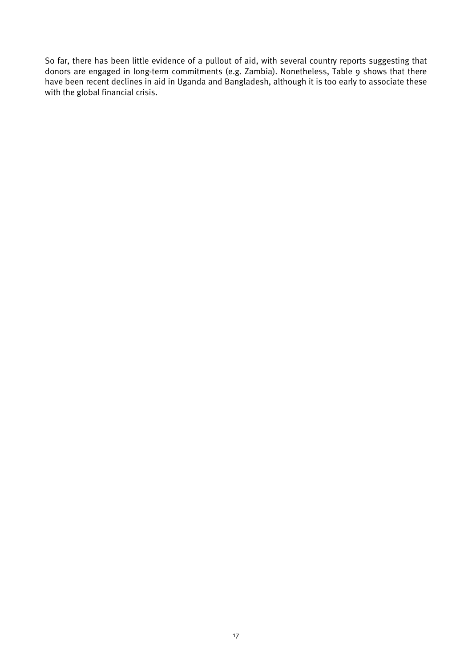So far, there has been little evidence of a pullout of aid, with several country reports suggesting that donors are engaged in long-term commitments (e.g. Zambia). Nonetheless, Table 9 shows that there have been recent declines in aid in Uganda and Bangladesh, although it is too early to associate these with the global financial crisis.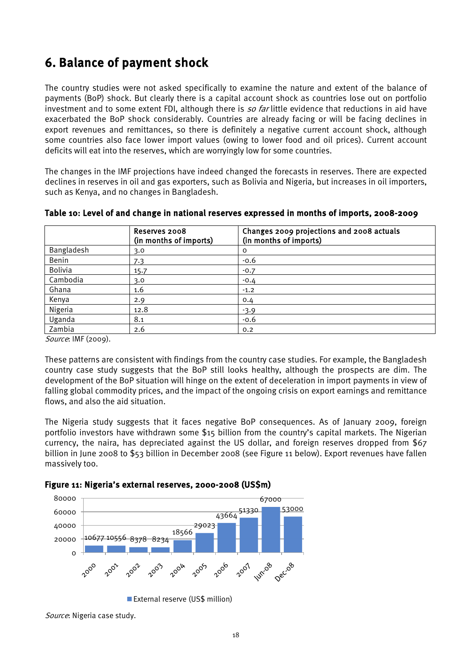# <span id="page-27-0"></span>6. Balance of payment shock

The country studies were not asked specifically to examine the nature and extent of the balance of payments (BoP) shock. But clearly there is a capital account shock as countries lose out on portfolio investment and to some extent FDI, although there is so far little evidence that reductions in aid have exacerbated the BoP shock considerably. Countries are already facing or will be facing declines in export revenues and remittances, so there is definitely a negative current account shock, although some countries also face lower import values (owing to lower food and oil prices). Current account deficits will eat into the reserves, which are worryingly low for some countries.

The changes in the IMF projections have indeed changed the forecasts in reserves. There are expected declines in reserves in oil and gas exporters, such as Bolivia and Nigeria, but increases in oil importers, such as Kenya, and no changes in Bangladesh.

|                | Reserves 2008<br>(in months of imports) | Changes 2009 projections and 2008 actuals<br>(in months of imports) |
|----------------|-----------------------------------------|---------------------------------------------------------------------|
| Bangladesh     | 3.0                                     | O                                                                   |
| Benin          | 7.3                                     | $-0.6$                                                              |
| <b>Bolivia</b> | 15.7                                    | $-0.7$                                                              |
| Cambodia       | 3.0                                     | $-0.4$                                                              |
| Ghana          | 1.6                                     | $-1.2$                                                              |
| Kenya          | 2.9                                     | 0.4                                                                 |
| Nigeria        | 12.8                                    | $-3.9$                                                              |
| Uganda         | 8.1                                     | $-0.6$                                                              |
| Zambia         | 2.6                                     | 0.2                                                                 |

<span id="page-27-2"></span>Table 10: Level of and change in national reserves expressed in months of imports, 2008-2009

Source: IMF (2009).

These patterns are consistent with findings from the country case studies. For example, the Bangladesh country case study suggests that the BoP still looks healthy, although the prospects are dim. The development of the BoP situation will hinge on the extent of deceleration in import payments in view of falling global commodity prices, and the impact of the ongoing crisis on export earnings and remittance flows, and also the aid situation.

The Nigeria study suggests that it faces negative BoP consequences. As of January 2009, foreign portfolio investors have withdrawn some \$15 billion from the country's capital markets. The Nigerian currency, the naira, has depreciated against the US dollar, and foreign reserves dropped from \$67 billion in June 2008 to \$53 billion in December 2008 (see Figure 11 below). Export revenues have fallen massively too.

<span id="page-27-1"></span>



<sup>■</sup> External reserve (US\$ million)

Source: Nigeria case study.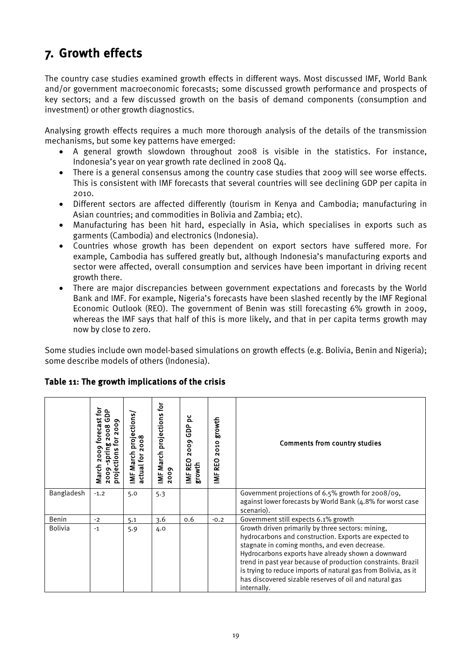# <span id="page-28-0"></span>7. Growth effects

The country case studies examined growth effects in different ways. Most discussed IMF, World Bank and/or government macroeconomic forecasts; some discussed growth performance and prospects of key sectors; and a few discussed growth on the basis of demand components (consumption and investment) or other growth diagnostics.

Analysing growth effects requires a much more thorough analysis of the details of the transmission mechanisms, but some key patterns have emerged:

- A general growth slowdown throughout 2008 is visible in the statistics. For instance, Indonesia's year on year growth rate declined in 2008 Q4.
- There is a general consensus among the country case studies that 2009 will see worse effects. This is consistent with IMF forecasts that several countries will see declining GDP per capita in 2010.
- Different sectors are affected differently (tourism in Kenya and Cambodia; manufacturing in Asian countries; and commodities in Bolivia and Zambia; etc).
- Manufacturing has been hit hard, especially in Asia, which specialises in exports such as garments (Cambodia) and electronics (Indonesia).
- Countries whose growth has been dependent on export sectors have suffered more. For example, Cambodia has suffered greatly but, although Indonesia's manufacturing exports and sector were affected, overall consumption and services have been important in driving recent growth there.
- There are major discrepancies between government expectations and forecasts by the World Bank and IMF. For example, Nigeria's forecasts have been slashed recently by the IMF Regional Economic Outlook (REO). The government of Benin was still forecasting 6% growth in 2009, whereas the IMF says that half of this is more likely, and that in per capita terms growth may now by close to zero.

Some studies include own model-based simulations on growth effects (e.g. Bolivia, Benin and Nigeria); some describe models of others (Indonesia).

|                | recast for<br>å<br>ပ<br>ᢆ<br><b>200</b><br>2008<br>Ğ<br>pring<br>projections<br>March<br>2009 | <b>MF March projections</b><br>actual for 2008 | ίōι<br>IMF March projections<br>2009 | ă<br>GDP<br>2009<br>IMF REO<br>growth | growth<br>2010<br>IMF REO | <b>Comments from country studies</b>                                                                                                                                                                                                                                                                                                                                                                                          |  |
|----------------|-----------------------------------------------------------------------------------------------|------------------------------------------------|--------------------------------------|---------------------------------------|---------------------------|-------------------------------------------------------------------------------------------------------------------------------------------------------------------------------------------------------------------------------------------------------------------------------------------------------------------------------------------------------------------------------------------------------------------------------|--|
| Bangladesh     | $-1.2$                                                                                        | 5.0                                            | 5.3                                  |                                       |                           | Government projections of $6.5\%$ growth for $2008/09$ ,<br>against lower forecasts by World Bank (4.8% for worst case<br>scenario).                                                                                                                                                                                                                                                                                          |  |
| Benin          | $-2$                                                                                          | 5.1                                            | 3.6                                  | 0.6                                   | $-0.2$                    | Government still expects 6.1% growth                                                                                                                                                                                                                                                                                                                                                                                          |  |
| <b>Bolivia</b> | $-1$                                                                                          | 5.9                                            | 4.0                                  |                                       |                           | Growth driven primarily by three sectors: mining,<br>hydrocarbons and construction. Exports are expected to<br>stagnate in coming months, and even decrease.<br>Hydrocarbons exports have already shown a downward<br>trend in past year because of production constraints. Brazil<br>is trying to reduce imports of natural gas from Bolivia, as it<br>has discovered sizable reserves of oil and natural gas<br>internally. |  |

#### <span id="page-28-1"></span>Table 11: The growth implications of the crisis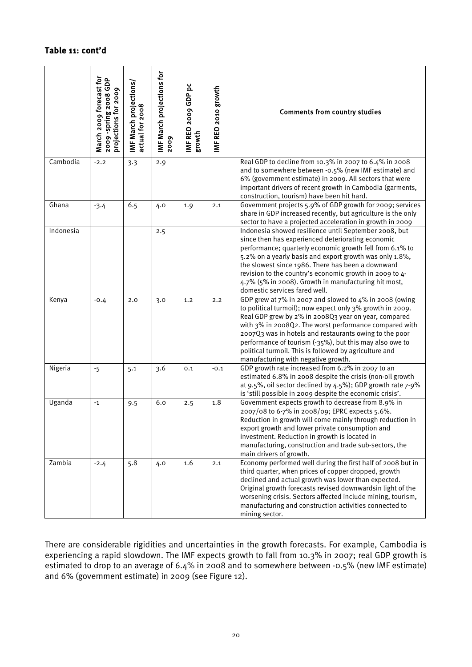#### Table 11: cont'd

|           | March 2009 forecast for<br>2009 - spring 2008 GDP<br>projections for 2009 | IMF March projections/<br>actual for 2008 | IMF March projections for<br>2009 | IMF REO 2009 GDP pc<br>growth | IMF REO 2010 growth | <b>Comments from country studies</b>                                                                                                                                                                                                                                                                                                                                                                                                                        |
|-----------|---------------------------------------------------------------------------|-------------------------------------------|-----------------------------------|-------------------------------|---------------------|-------------------------------------------------------------------------------------------------------------------------------------------------------------------------------------------------------------------------------------------------------------------------------------------------------------------------------------------------------------------------------------------------------------------------------------------------------------|
| Cambodia  | $-2.2$                                                                    | 3.3                                       | 2.9                               |                               |                     | Real GDP to decline from 10.3% in 2007 to 6.4% in 2008<br>and to somewhere between -0.5% (new IMF estimate) and<br>6% (government estimate) in 2009. All sectors that were<br>important drivers of recent growth in Cambodia (garments,<br>construction, tourism) have been hit hard.                                                                                                                                                                       |
| Ghana     | $-3.4$                                                                    | 6.5                                       | 4.0                               | 1.9                           | 2.1                 | Government projects 5.9% of GDP growth for 2009; services<br>share in GDP increased recently, but agriculture is the only<br>sector to have a projected acceleration in growth in 2009                                                                                                                                                                                                                                                                      |
| Indonesia |                                                                           |                                           | 2.5                               |                               |                     | Indonesia showed resilience until September 2008, but<br>since then has experienced deteriorating economic<br>performance; quarterly economic growth fell from 6.1% to<br>5.2% on a yearly basis and export growth was only 1.8%,<br>the slowest since 1986. There has been a downward<br>revision to the country's economic growth in 2009 to 4-<br>4.7% (5% in 2008). Growth in manufacturing hit most,<br>domestic services fared well.                  |
| Kenya     | $-0.4$                                                                    | 2.0                                       | 3.0                               | 1,2                           | 2.2                 | GDP grew at 7% in 2007 and slowed to 4% in 2008 (owing<br>to political turmoil); now expect only 3% growth in 2009.<br>Real GDP grew by 2% in 2008Q3 year on year, compared<br>with 3% in 2008Q2. The worst performance compared with<br>2007Q3 was in hotels and restaurants owing to the poor<br>performance of tourism (-35%), but this may also owe to<br>political turmoil. This is followed by agriculture and<br>manufacturing with negative growth. |
| Nigeria   | $-5$                                                                      | 5.1                                       | 3.6                               | 0.1                           | $-0.1$              | GDP growth rate increased from 6.2% in 2007 to an<br>estimated 6.8% in 2008 despite the crisis (non-oil growth<br>at 9.5%, oil sector declined by 4.5%); GDP growth rate 7-9%<br>is 'still possible in 2009 despite the economic crisis'.                                                                                                                                                                                                                   |
| Uganda    | $^{\text{{\small -1}}}$                                                   | 9.5                                       | 6.0                               | 2.5                           | 1.8                 | Government expects growth to decrease from 8.9% in<br>2007/08 to 6-7% in 2008/09; EPRC expects 5.6%.<br>Reduction in growth will come mainly through reduction in<br>export growth and lower private consumption and<br>investment. Reduction in growth is located in<br>manufacturing, construction and trade sub-sectors, the<br>main drivers of growth.                                                                                                  |
| Zambia    | $-2.4$                                                                    | 5.8                                       | 4.0                               | 1.6                           | 2.1                 | Economy performed well during the first half of 2008 but in<br>third quarter, when prices of copper dropped, growth<br>declined and actual growth was lower than expected.<br>Original growth forecasts revised downwardsin light of the<br>worsening crisis. Sectors affected include mining, tourism,<br>manufacturing and construction activities connected to<br>mining sector.                                                                         |

There are considerable rigidities and uncertainties in the growth forecasts. For example, Cambodia is experiencing a rapid slowdown. The IMF expects growth to fall from 10.3% in 2007; real GDP growth is estimated to drop to an average of 6.4% in 2008 and to somewhere between -0.5% (new IMF estimate) and 6% (government estimate) in 2009 (see Figure 12).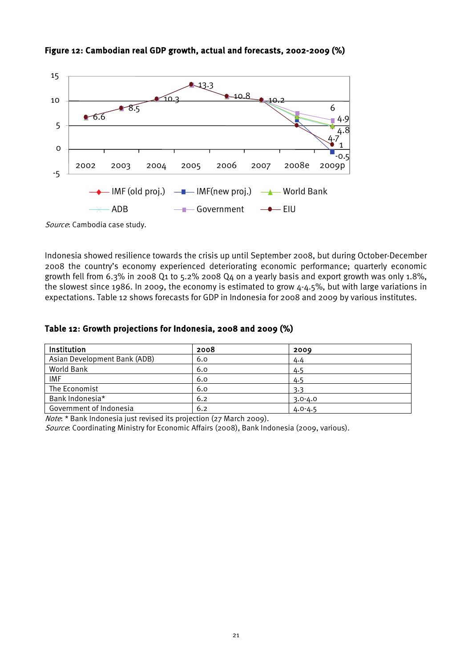

#### <span id="page-30-0"></span>Figure 12: Cambodian real GDP growth, actual and forecasts, 2002-2009 (%)

Source: Cambodia case study.

Indonesia showed resilience towards the crisis up until September 2008, but during October-December 2008 the country's economy experienced deteriorating economic performance; quarterly economic growth fell from 6.3% in 2008 Q1 to 5.2% 2008 Q4 on a yearly basis and export growth was only 1.8%, the slowest since 1986. In 2009, the economy is estimated to grow 4-4.5%, but with large variations in expectations. Table 12 shows forecasts for GDP in Indonesia for 2008 and 2009 by various institutes.

#### <span id="page-30-1"></span>Table 12: Growth projections for Indonesia, 2008 and 2009 (%)

| Institution                  | 2008 | 2009        |
|------------------------------|------|-------------|
| Asian Development Bank (ADB) | 6.0  | 4.4         |
| World Bank                   | 6.0  | 4.5         |
| <b>IMF</b>                   | 6.0  | 4.5         |
| The Economist                | 6.0  | 3.3         |
| Bank Indonesia*              | 6.2  | $3.0 - 4.0$ |
| Government of Indonesia      | 6.2  | $4.0 - 4.5$ |

Note: \* Bank Indonesia just revised its projection (27 March 2009).

Source: Coordinating Ministry for Economic Affairs (2008), Bank Indonesia (2009, various).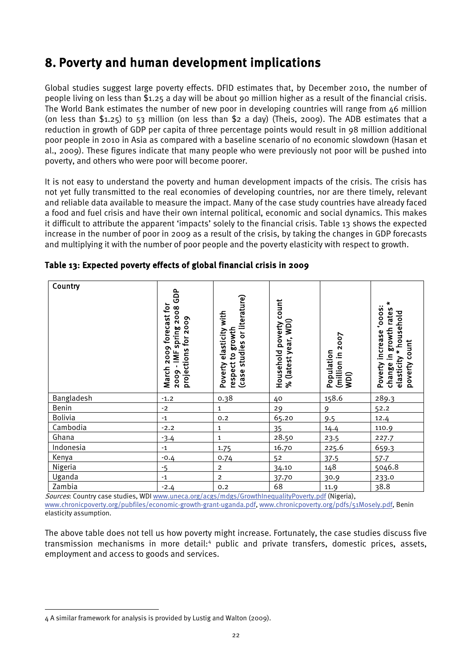# <span id="page-31-0"></span>8. Poverty and human development implications

Global studies suggest large poverty effects. DFID estimates that, by December 2010, the number of people living on less than \$1.25 a day will be about 90 million higher as a result of the financial crisis. The World Bank estimates the number of new poor in developing countries will range from 46 million (on less than \$1.25) to 53 million (on less than \$2 a day) (Theis, 2009). The ADB estimates that a reduction in growth of GDP per capita of three percentage points would result in 98 million additional poor people in 2010 in Asia as compared with a baseline scenario of no economic slowdown (Hasan et al., 2009). These figures indicate that many people who were previously not poor will be pushed into poverty, and others who were poor will become poorer.

It is not easy to understand the poverty and human development impacts of the crisis. The crisis has not yet fully transmitted to the real economies of developing countries, nor are there timely, relevant and reliable data available to measure the impact. Many of the case study countries have already faced a food and fuel crisis and have their own internal political, economic and social dynamics. This makes it difficult to attribute the apparent 'impacts' solely to the financial crisis. Table 13 shows the expected increase in the number of poor in 2009 as a result of the crisis, by taking the changes in GDP forecasts and multiplying it with the number of poor people and the poverty elasticity with respect to growth.

| Country        | GDP<br>March 2009 forecast for<br>spring 2008<br>projections for 2009<br>$-MF$<br>2009 | respect to growth<br>(case studies or literature)<br>with<br>elasticity<br>Poverty | Household poverty count<br>(latest year, WDI)<br>ಸಿ | (million in 2007<br>Population<br>(Iqm | ×<br>:sooo,<br>in growth rates<br>household<br>Poverty increase<br>poverty count<br>×<br>elasticity<br>change |
|----------------|----------------------------------------------------------------------------------------|------------------------------------------------------------------------------------|-----------------------------------------------------|----------------------------------------|---------------------------------------------------------------------------------------------------------------|
| Bangladesh     | $-1.2$                                                                                 | 0.38                                                                               | 40                                                  | 158.6                                  | 289.3                                                                                                         |
| Benin          | $-2$                                                                                   | $\mathbf{1}$                                                                       | 29                                                  | $\mathsf{Q}$                           | 52.2                                                                                                          |
| <b>Bolivia</b> | $-1$                                                                                   | 0.2                                                                                | 65.20                                               | 9.5                                    | 12.4                                                                                                          |
| Cambodia       | $-2.2$                                                                                 | $\mathbf 1$                                                                        | 35                                                  | 14.4                                   | 110.9                                                                                                         |
| Ghana          | $-3.4$                                                                                 | $\mathbf{1}$                                                                       | 28.50                                               | 23.5                                   | 227.7                                                                                                         |
| Indonesia      | $-1$                                                                                   | 1.75                                                                               | 16.70                                               | 225.6                                  | 659.3                                                                                                         |
| Kenya          | $-0.4$                                                                                 | 0.74                                                                               | 52                                                  | 37.5                                   | 57.7                                                                                                          |
| Nigeria        | $-5$                                                                                   | $\overline{2}$                                                                     | 34.10                                               | 148                                    | 5046.8                                                                                                        |
| Uganda         | $-1$                                                                                   | $\overline{c}$                                                                     | 37.70                                               | 30.9                                   | 233.0                                                                                                         |
| Zambia         | $-2.4$                                                                                 | 0.2                                                                                | 68                                                  | 11.9                                   | 38.8                                                                                                          |

#### <span id="page-31-1"></span>Table 13: Expected poverty effects of global financial crisis in 2009

Sources: Country case studies, WDI [www.uneca.org/acgs/mdgs/GrowthInequalityPoverty.pdf](http://www.uneca.org/acgs/mdgs/GrowthInequalityPoverty.pdf) (Nigeria),

[www.chronicpoverty.org/pubfiles/economic-growth-grant-uganda.pdf,](http://www.chronicpoverty.org/pubfiles/economic-growth-grant-uganda.pdf) [www.chronicpoverty.org/pdfs/51Mosely.pdf,](http://www.chronicpoverty.org/pdfs/51Mosely.pdf) Benin elasticity assumption.

The above table does not tell us how poverty might increase. Fortunately, the case studies discuss five transmission mechanisms in more detail:[4](#page-31-2) public and private transfers, domestic prices, assets, employment and access to goods and services.

 $\overline{a}$ 

<span id="page-31-2"></span><sup>4</sup> A similar framework for analysis is provided by Lustig and Walton (2009).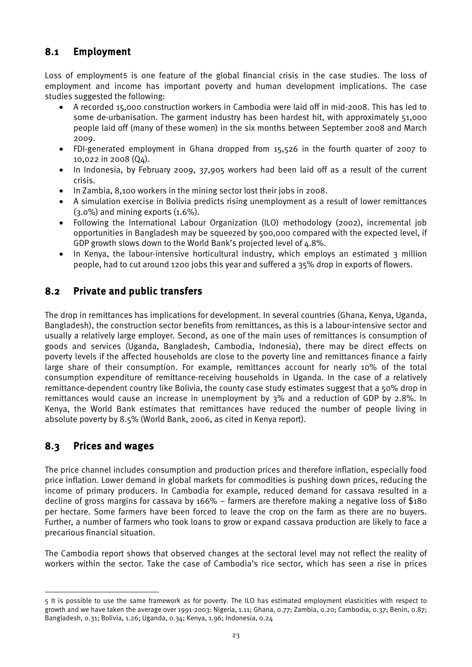### <span id="page-32-0"></span>8.1 Employment

Loss of employment[5](#page-32-3) is one feature of the global financial crisis in the case studies. The loss of employment and income has important poverty and human development implications. The case studies suggested the following:

- A recorded 15,000 construction workers in Cambodia were laid off in mid-2008. This has led to some de-urbanisation. The garment industry has been hardest hit, with approximately 51,000 people laid off (many of these women) in the six months between September 2008 and March 2009.
- FDI-generated employment in Ghana dropped from 15,526 in the fourth quarter of 2007 to 10,022 in 2008 (Q4).
- In Indonesia, by February 2009, 37,905 workers had been laid off as a result of the current crisis.
- In Zambia, 8,100 workers in the mining sector lost their jobs in 2008.
- A simulation exercise in Bolivia predicts rising unemployment as a result of lower remittances  $(3.0\%)$  and mining exports  $(1.6\%).$
- Following the International Labour Organization (ILO) methodology (2002), incremental job opportunities in Bangladesh may be squeezed by 500,000 compared with the expected level, if GDP growth slows down to the World Bank's projected level of 4.8%.
- In Kenya, the labour-intensive horticultural industry, which employs an estimated 3 million people, had to cut around 1200 jobs this year and suffered a 35% drop in exports of flowers.

### <span id="page-32-1"></span>8.2 Private and public transfers

The drop in remittances has implications for development. In several countries (Ghana, Kenya, Uganda, Bangladesh), the construction sector benefits from remittances, as this is a labour-intensive sector and usually a relatively large employer. Second, as one of the main uses of remittances is consumption of goods and services (Uganda, Bangladesh, Cambodia, Indonesia), there may be direct effects on poverty levels if the affected households are close to the poverty line and remittances finance a fairly large share of their consumption. For example, remittances account for nearly 10% of the total consumption expenditure of remittance-receiving households in Uganda. In the case of a relatively remittance-dependent country like Bolivia, the county case study estimates suggest that a 50% drop in remittances would cause an increase in unemployment by 3% and a reduction of GDP by 2.8%. In Kenya, the World Bank estimates that remittances have reduced the number of people living in absolute poverty by 8.5% (World Bank, 2006, as cited in Kenya report).

### <span id="page-32-2"></span>8.3 Prices and wages

**.** 

The price channel includes consumption and production prices and therefore inflation, especially food price inflation. Lower demand in global markets for commodities is pushing down prices, reducing the income of primary producers. In Cambodia for example, reduced demand for cassava resulted in a decline of gross margins for cassava by 166% – farmers are therefore making a negative loss of \$180 per hectare. Some farmers have been forced to leave the crop on the farm as there are no buyers. Further, a number of farmers who took loans to grow or expand cassava production are likely to face a precarious financial situation.

The Cambodia report shows that observed changes at the sectoral level may not reflect the reality of workers within the sector. Take the case of Cambodia's rice sector, which has seen a rise in prices

<span id="page-32-3"></span><sup>5</sup> It is possible to use the same framework as for poverty. The ILO has estimated employment elasticities with respect to growth and we have taken the average over 1991-2003: Nigeria, 1.11; Ghana, 0.77; Zambia, 0.20; Cambodia, 0.37; Benin, 0.87; Bangladesh, 0.31; Bolivia, 1.26; Uganda, 0.34; Kenya, 1.96; Indonesia, 0.24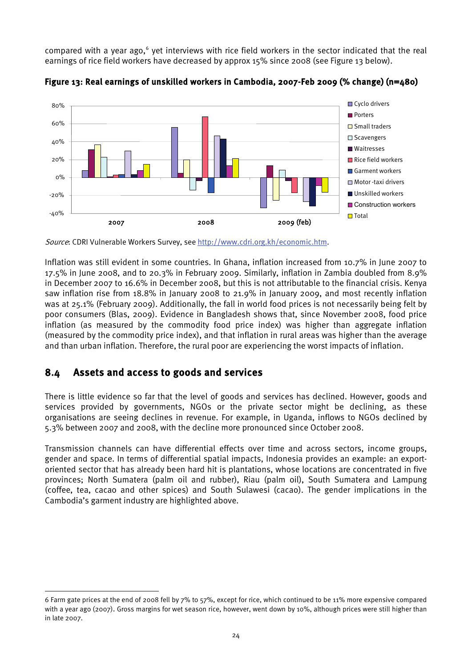compared with a year ago,<sup>[6](#page-33-2)</sup> yet interviews with rice field workers in the sector indicated that the real earnings of rice field workers have decreased by approx 15% since 2008 (see Figure 13 below).



<span id="page-33-1"></span>

Source: CDRI Vulnerable Workers Survey, se[e http://www.cdri.org.kh/economic.htm.](http://www.cdri.org.kh/economic.htm)

Inflation was still evident in some countries. In Ghana, inflation increased from 10.7% in June 2007 to 17.5% in June 2008, and to 20.3% in February 2009. Similarly, inflation in Zambia doubled from 8.9% in December 2007 to 16.6% in December 2008, but this is not attributable to the financial crisis. Kenya saw inflation rise from 18.8% in January 2008 to 21.9% in January 2009, and most recently inflation was at 25.1% (February 2009). Additionally, the fall in world food prices is not necessarily being felt by poor consumers (Blas, 2009). Evidence in Bangladesh shows that, since November 2008, food price inflation (as measured by the commodity food price index) was higher than aggregate inflation (measured by the commodity price index), and that inflation in rural areas was higher than the average and than urban inflation. Therefore, the rural poor are experiencing the worst impacts of inflation.

### <span id="page-33-0"></span>8.4 Assets and access to goods and services

**.** 

There is little evidence so far that the level of goods and services has declined. However, goods and services provided by governments, NGOs or the private sector might be declining, as these organisations are seeing declines in revenue. For example, in Uganda, inflows to NGOs declined by 5.3% between 2007 and 2008, with the decline more pronounced since October 2008.

Transmission channels can have differential effects over time and across sectors, income groups, gender and space. In terms of differential spatial impacts, Indonesia provides an example: an exportoriented sector that has already been hard hit is plantations, whose locations are concentrated in five provinces; North Sumatera (palm oil and rubber), Riau (palm oil), South Sumatera and Lampung (coffee, tea, cacao and other spices) and South Sulawesi (cacao). The gender implications in the Cambodia's garment industry are highlighted above.

<span id="page-33-2"></span><sup>6</sup> Farm gate prices at the end of 2008 fell by 7% to 57%, except for rice, which continued to be 11% more expensive compared with a year ago (2007). Gross margins for wet season rice, however, went down by 10%, although prices were still higher than in late 2007.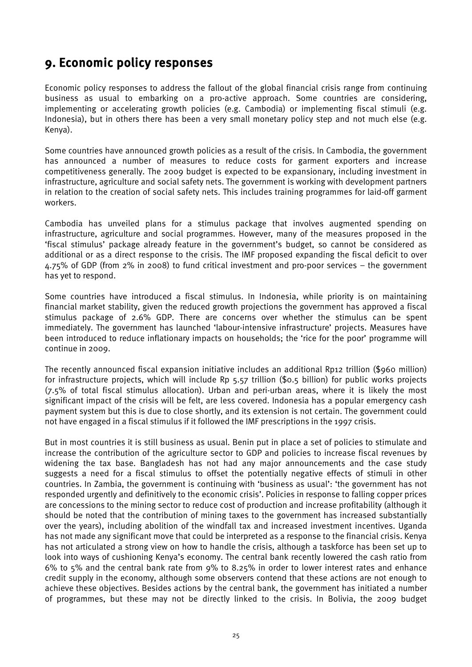# <span id="page-34-0"></span>9. Economic policy responses

Economic policy responses to address the fallout of the global financial crisis range from continuing business as usual to embarking on a pro-active approach. Some countries are considering, implementing or accelerating growth policies (e.g. Cambodia) or implementing fiscal stimuli (e.g. Indonesia), but in others there has been a very small monetary policy step and not much else (e.g. Kenya).

Some countries have announced growth policies as a result of the crisis. In Cambodia, the government has announced a number of measures to reduce costs for garment exporters and increase competitiveness generally. The 2009 budget is expected to be expansionary, including investment in infrastructure, agriculture and social safety nets. The government is working with development partners in relation to the creation of social safety nets. This includes training programmes for laid-off garment workers.

Cambodia has unveiled plans for a stimulus package that involves augmented spending on infrastructure, agriculture and social programmes. However, many of the measures proposed in the 'fiscal stimulus' package already feature in the government's budget, so cannot be considered as additional or as a direct response to the crisis. The IMF proposed expanding the fiscal deficit to over 4.75% of GDP (from 2% in 2008) to fund critical investment and pro-poor services – the government has yet to respond.

Some countries have introduced a fiscal stimulus. In Indonesia, while priority is on maintaining financial market stability, given the reduced growth projections the government has approved a fiscal stimulus package of 2.6% GDP. There are concerns over whether the stimulus can be spent immediately. The government has launched 'labour-intensive infrastructure' projects. Measures have been introduced to reduce inflationary impacts on households; the 'rice for the poor' programme will continue in 2009.

The recently announced fiscal expansion initiative includes an additional Rp12 trillion (\$960 million) for infrastructure projects, which will include Rp 5.57 trillion (\$0.5 billion) for public works projects (7.5% of total fiscal stimulus allocation). Urban and peri-urban areas, where it is likely the most significant impact of the crisis will be felt, are less covered. Indonesia has a popular emergency cash payment system but this is due to close shortly, and its extension is not certain. The government could not have engaged in a fiscal stimulus if it followed the IMF prescriptions in the 1997 crisis.

But in most countries it is still business as usual. Benin put in place a set of policies to stimulate and increase the contribution of the agriculture sector to GDP and policies to increase fiscal revenues by widening the tax base. Bangladesh has not had any major announcements and the case study suggests a need for a fiscal stimulus to offset the potentially negative effects of stimuli in other countries. In Zambia, the government is continuing with 'business as usual': 'the government has not responded urgently and definitively to the economic crisis'. Policies in response to falling copper prices are concessions to the mining sector to reduce cost of production and increase profitability (although it should be noted that the contribution of mining taxes to the government has increased substantially over the years), including abolition of the windfall tax and increased investment incentives. Uganda has not made any significant move that could be interpreted as a response to the financial crisis. Kenya has not articulated a strong view on how to handle the crisis, although a taskforce has been set up to look into ways of cushioning Kenya's economy. The central bank recently lowered the cash ratio from 6% to 5% and the central bank rate from 9% to 8.25% in order to lower interest rates and enhance credit supply in the economy, although some observers contend that these actions are not enough to achieve these objectives. Besides actions by the central bank, the government has initiated a number of programmes, but these may not be directly linked to the crisis. In Bolivia, the 2009 budget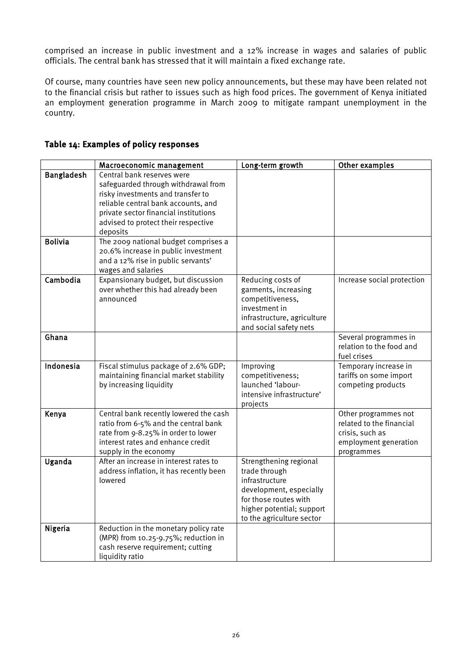comprised an increase in public investment and a 12% increase in wages and salaries of public officials. The central bank has stressed that it will maintain a fixed exchange rate.

Of course, many countries have seen new policy announcements, but these may have been related not to the financial crisis but rather to issues such as high food prices. The government of Kenya initiated an employment generation programme in March 2009 to mitigate rampant unemployment in the country.

|                   | Macroeconomic management                                                                                                                                                                                                                  | Long-term growth                                                                                                                                                        | Other examples                                                                                             |
|-------------------|-------------------------------------------------------------------------------------------------------------------------------------------------------------------------------------------------------------------------------------------|-------------------------------------------------------------------------------------------------------------------------------------------------------------------------|------------------------------------------------------------------------------------------------------------|
| <b>Bangladesh</b> | Central bank reserves were<br>safeguarded through withdrawal from<br>risky investments and transfer to<br>reliable central bank accounts, and<br>private sector financial institutions<br>advised to protect their respective<br>deposits |                                                                                                                                                                         |                                                                                                            |
| <b>Bolivia</b>    | The 2009 national budget comprises a<br>20.6% increase in public investment<br>and a 12% rise in public servants'<br>wages and salaries                                                                                                   |                                                                                                                                                                         |                                                                                                            |
| Cambodia          | Expansionary budget, but discussion<br>over whether this had already been<br>announced                                                                                                                                                    | Reducing costs of<br>garments, increasing<br>competitiveness,<br>investment in<br>infrastructure, agriculture<br>and social safety nets                                 | Increase social protection                                                                                 |
| Ghana             |                                                                                                                                                                                                                                           |                                                                                                                                                                         | Several programmes in<br>relation to the food and<br>fuel crises                                           |
| Indonesia         | Fiscal stimulus package of 2.6% GDP;<br>maintaining financial market stability<br>by increasing liquidity                                                                                                                                 | Improving<br>competitiveness;<br>launched 'labour-<br>intensive infrastructure'<br>projects                                                                             | Temporary increase in<br>tariffs on some import<br>competing products                                      |
| Kenya             | Central bank recently lowered the cash<br>ratio from 6-5% and the central bank<br>rate from 9-8.25% in order to lower<br>interest rates and enhance credit<br>supply in the economy                                                       |                                                                                                                                                                         | Other programmes not<br>related to the financial<br>crisis, such as<br>employment generation<br>programmes |
| Uganda            | After an increase in interest rates to<br>address inflation, it has recently been<br>lowered                                                                                                                                              | Strengthening regional<br>trade through<br>infrastructure<br>development, especially<br>for those routes with<br>higher potential; support<br>to the agriculture sector |                                                                                                            |
| Nigeria           | Reduction in the monetary policy rate<br>(MPR) from 10.25-9.75%; reduction in<br>cash reserve requirement; cutting<br>liquidity ratio                                                                                                     |                                                                                                                                                                         |                                                                                                            |

#### <span id="page-35-0"></span>Table 14: Examples of policy responses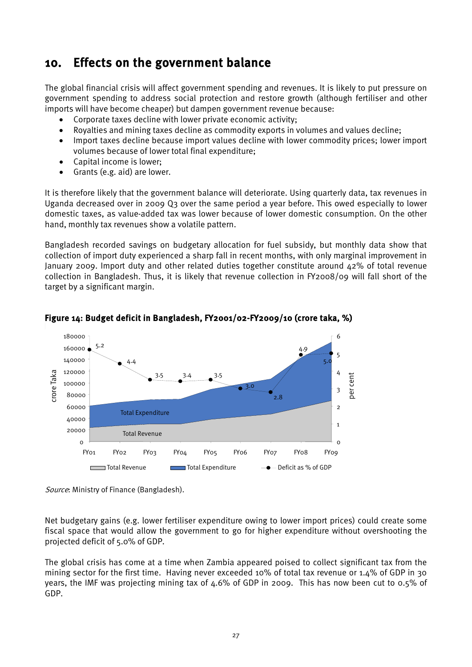## <span id="page-36-0"></span>10. Effects on the government balance

The global financial crisis will affect government spending and revenues. It is likely to put pressure on government spending to address social protection and restore growth (although fertiliser and other imports will have become cheaper) but dampen government revenue because:

- Corporate taxes decline with lower private economic activity;
- Royalties and mining taxes decline as commodity exports in volumes and values decline;
- Import taxes decline because import values decline with lower commodity prices; lower import volumes because of lower total final expenditure;
- Capital income is lower;
- Grants (e.g. aid) are lower.

It is therefore likely that the government balance will deteriorate. Using quarterly data, tax revenues in Uganda decreased over in 2009 Q3 over the same period a year before. This owed especially to lower domestic taxes, as value-added tax was lower because of lower domestic consumption. On the other hand, monthly tax revenues show a volatile pattern.

Bangladesh recorded savings on budgetary allocation for fuel subsidy, but monthly data show that collection of import duty experienced a sharp fall in recent months, with only marginal improvement in January 2009. Import duty and other related duties together constitute around 42% of total revenue collection in Bangladesh. Thus, it is likely that revenue collection in FY2008/09 will fall short of the target by a significant margin.



<span id="page-36-1"></span>Figure 14: Budget deficit in Bangladesh, FY2001/02-FY2009/10 (crore taka, %)

Source: Ministry of Finance (Bangladesh).

Net budgetary gains (e.g. lower fertiliser expenditure owing to lower import prices) could create some fiscal space that would allow the government to go for higher expenditure without overshooting the projected deficit of 5.0% of GDP.

The global crisis has come at a time when Zambia appeared poised to collect significant tax from the mining sector for the first time. Having never exceeded 10% of total tax revenue or 1.4% of GDP in 30 years, the IMF was projecting mining tax of 4.6% of GDP in 2009. This has now been cut to 0.5% of GDP.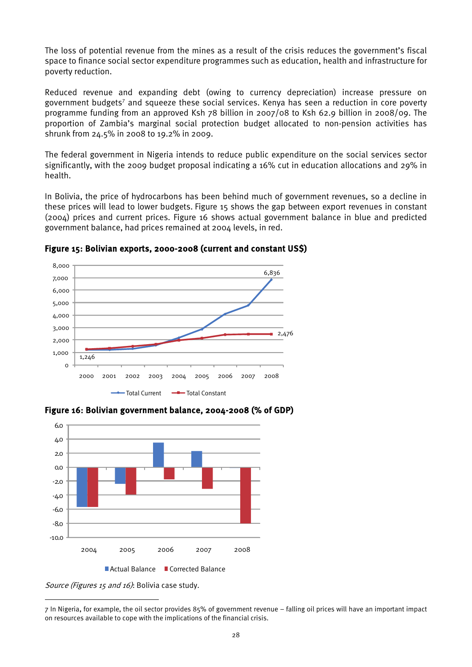The loss of potential revenue from the mines as a result of the crisis reduces the government's fiscal space to finance social sector expenditure programmes such as education, health and infrastructure for poverty reduction.

Reduced revenue and expanding debt (owing to currency depreciation) increase pressure on government budgets<sup>7</sup> and squeeze these social services. Kenya has seen a reduction in core poverty programme funding from an approved Ksh 78 billion in 2007/08 to Ksh 62.9 billion in 2008/09. The proportion of Zambia's marginal social protection budget allocated to non-pension activities has shrunk from 24.5% in 2008 to 19.2% in 2009.

The federal government in Nigeria intends to reduce public expenditure on the social services sector significantly, with the 2009 budget proposal indicating a 16% cut in education allocations and 29% in health.

In Bolivia, the price of hydrocarbons has been behind much of government revenues, so a decline in these prices will lead to lower budgets. Figure 15 shows the gap between export revenues in constant (2004) prices and current prices. Figure 16 shows actual government balance in blue and predicted government balance, had prices remained at 2004 levels, in red.



<span id="page-37-0"></span>Figure 15: Bolivian exports, 2000-2008 (current and constant US\$)

<span id="page-37-1"></span>



Source (Figures 15 and 16): Bolivia case study.

 $\overline{a}$ 

<span id="page-37-2"></span><sup>7</sup> In Nigeria, for example, the oil sector provides 85% of government revenue – falling oil prices will have an important impact on resources available to cope with the implications of the financial crisis.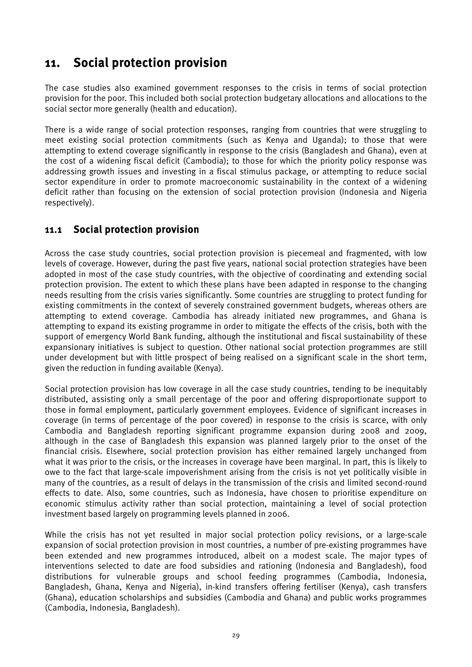# <span id="page-38-0"></span>11. Social protection provision

The case studies also examined government responses to the crisis in terms of social protection provision for the poor. This included both social protection budgetary allocations and allocations to the social sector more generally (health and education).

There is a wide range of social protection responses, ranging from countries that were struggling to meet existing social protection commitments (such as Kenya and Uganda); to those that were attempting to extend coverage significantly in response to the crisis (Bangladesh and Ghana), even at the cost of a widening fiscal deficit (Cambodia); to those for which the priority policy response was addressing growth issues and investing in a fiscal stimulus package, or attempting to reduce social sector expenditure in order to promote macroeconomic sustainability in the context of a widening deficit rather than focusing on the extension of social protection provision (Indonesia and Nigeria respectively).

### <span id="page-38-1"></span>11.1 Social protection provision

Across the case study countries, social protection provision is piecemeal and fragmented, with low levels of coverage. However, during the past five years, national social protection strategies have been adopted in most of the case study countries, with the objective of coordinating and extending social protection provision. The extent to which these plans have been adapted in response to the changing needs resulting from the crisis varies significantly. Some countries are struggling to protect funding for existing commitments in the context of severely constrained government budgets, whereas others are attempting to extend coverage. Cambodia has already initiated new programmes, and Ghana is attempting to expand its existing programme in order to mitigate the effects of the crisis, both with the support of emergency World Bank funding, although the institutional and fiscal sustainability of these expansionary initiatives is subject to question. Other national social protection programmes are still under development but with little prospect of being realised on a significant scale in the short term, given the reduction in funding available (Kenya).

Social protection provision has low coverage in all the case study countries, tending to be inequitably distributed, assisting only a small percentage of the poor and offering disproportionate support to those in formal employment, particularly government employees. Evidence of significant increases in coverage (in terms of percentage of the poor covered) in response to the crisis is scarce, with only Cambodia and Bangladesh reporting significant programme expansion during 2008 and 2009, although in the case of Bangladesh this expansion was planned largely prior to the onset of the financial crisis. Elsewhere, social protection provision has either remained largely unchanged from what it was prior to the crisis, or the increases in coverage have been marginal. In part, this is likely to owe to the fact that large-scale impoverishment arising from the crisis is not yet politically visible in many of the countries, as a result of delays in the transmission of the crisis and limited second-round effects to date. Also, some countries, such as Indonesia, have chosen to prioritise expenditure on economic stimulus activity rather than social protection, maintaining a level of social protection investment based largely on programming levels planned in 2006.

While the crisis has not yet resulted in major social protection policy revisions, or a large-scale expansion of social protection provision in most countries, a number of pre-existing programmes have been extended and new programmes introduced, albeit on a modest scale. The major types of interventions selected to date are food subsidies and rationing (Indonesia and Bangladesh), food distributions for vulnerable groups and school feeding programmes (Cambodia, Indonesia, Bangladesh, Ghana, Kenya and Nigeria), in-kind transfers offering fertiliser (Kenya), cash transfers (Ghana), education scholarships and subsidies (Cambodia and Ghana) and public works programmes (Cambodia, Indonesia, Bangladesh).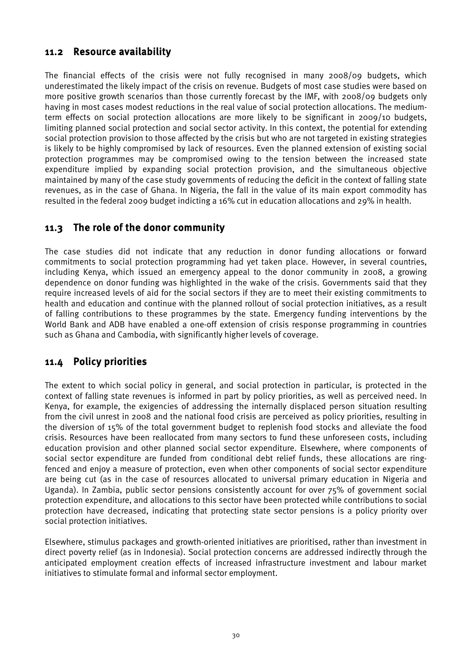### <span id="page-39-0"></span>11.2 Resource availability

The financial effects of the crisis were not fully recognised in many 2008/09 budgets, which underestimated the likely impact of the crisis on revenue. Budgets of most case studies were based on more positive growth scenarios than those currently forecast by the IMF, with 2008/09 budgets only having in most cases modest reductions in the real value of social protection allocations. The mediumterm effects on social protection allocations are more likely to be significant in 2009/10 budgets, limiting planned social protection and social sector activity. In this context, the potential for extending social protection provision to those affected by the crisis but who are not targeted in existing strategies is likely to be highly compromised by lack of resources. Even the planned extension of existing social protection programmes may be compromised owing to the tension between the increased state expenditure implied by expanding social protection provision, and the simultaneous objective maintained by many of the case study governments of reducing the deficit in the context of falling state revenues, as in the case of Ghana. In Nigeria, the fall in the value of its main export commodity has resulted in the federal 2009 budget indicting a 16% cut in education allocations and 29% in health.

### <span id="page-39-1"></span>11.3 The role of the donor community

The case studies did not indicate that any reduction in donor funding allocations or forward commitments to social protection programming had yet taken place. However, in several countries, including Kenya, which issued an emergency appeal to the donor community in 2008, a growing dependence on donor funding was highlighted in the wake of the crisis. Governments said that they require increased levels of aid for the social sectors if they are to meet their existing commitments to health and education and continue with the planned rollout of social protection initiatives, as a result of falling contributions to these programmes by the state. Emergency funding interventions by the World Bank and ADB have enabled a one-off extension of crisis response programming in countries such as Ghana and Cambodia, with significantly higher levels of coverage.

### <span id="page-39-2"></span>11.4 Policy priorities

The extent to which social policy in general, and social protection in particular, is protected in the context of falling state revenues is informed in part by policy priorities, as well as perceived need. In Kenya, for example, the exigencies of addressing the internally displaced person situation resulting from the civil unrest in 2008 and the national food crisis are perceived as policy priorities, resulting in the diversion of 15% of the total government budget to replenish food stocks and alleviate the food crisis. Resources have been reallocated from many sectors to fund these unforeseen costs, including education provision and other planned social sector expenditure. Elsewhere, where components of social sector expenditure are funded from conditional debt relief funds, these allocations are ringfenced and enjoy a measure of protection, even when other components of social sector expenditure are being cut (as in the case of resources allocated to universal primary education in Nigeria and Uganda). In Zambia, public sector pensions consistently account for over 75% of government social protection expenditure, and allocations to this sector have been protected while contributions to social protection have decreased, indicating that protecting state sector pensions is a policy priority over social protection initiatives.

Elsewhere, stimulus packages and growth-oriented initiatives are prioritised, rather than investment in direct poverty relief (as in Indonesia). Social protection concerns are addressed indirectly through the anticipated employment creation effects of increased infrastructure investment and labour market initiatives to stimulate formal and informal sector employment.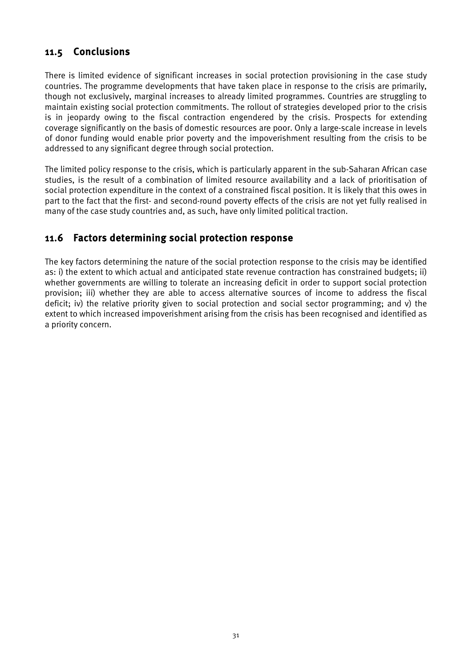### <span id="page-40-0"></span>11.5 Conclusions

There is limited evidence of significant increases in social protection provisioning in the case study countries. The programme developments that have taken place in response to the crisis are primarily, though not exclusively, marginal increases to already limited programmes. Countries are struggling to maintain existing social protection commitments. The rollout of strategies developed prior to the crisis is in jeopardy owing to the fiscal contraction engendered by the crisis. Prospects for extending coverage significantly on the basis of domestic resources are poor. Only a large-scale increase in levels of donor funding would enable prior poverty and the impoverishment resulting from the crisis to be addressed to any significant degree through social protection.

The limited policy response to the crisis, which is particularly apparent in the sub-Saharan African case studies, is the result of a combination of limited resource availability and a lack of prioritisation of social protection expenditure in the context of a constrained fiscal position. It is likely that this owes in part to the fact that the first- and second-round poverty effects of the crisis are not yet fully realised in many of the case study countries and, as such, have only limited political traction.

### <span id="page-40-1"></span>11.6 Factors determining social protection response

The key factors determining the nature of the social protection response to the crisis may be identified as: i) the extent to which actual and anticipated state revenue contraction has constrained budgets; ii) whether governments are willing to tolerate an increasing deficit in order to support social protection provision; iii) whether they are able to access alternative sources of income to address the fiscal deficit; iv) the relative priority given to social protection and social sector programming; and v) the extent to which increased impoverishment arising from the crisis has been recognised and identified as a priority concern.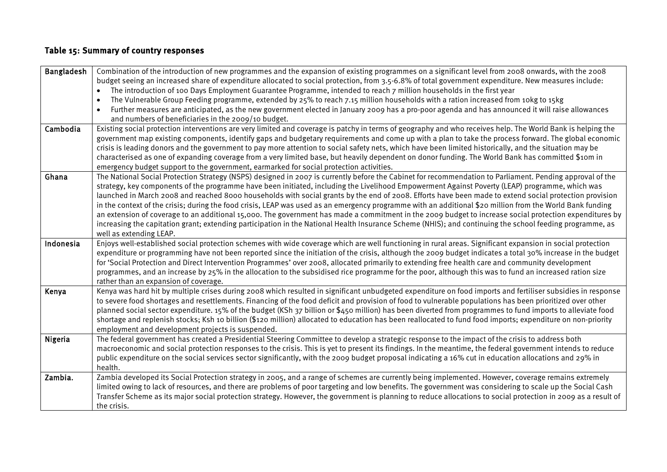### Table 15: Summary of country responses

<span id="page-41-0"></span>

| The introduction of 100 Days Employment Guarantee Programme, intended to reach 7 million households in the first year<br>$\bullet$<br>The Vulnerable Group Feeding programme, extended by 25% to reach 7.15 million households with a ration increased from 10kg to 15kg<br>$\bullet$<br>Further measures are anticipated, as the new government elected in January 2009 has a pro-poor agenda and has announced it will raise allowances<br>$\bullet$<br>and numbers of beneficiaries in the 2009/10 budget.<br>Cambodia<br>Existing social protection interventions are very limited and coverage is patchy in terms of geography and who receives help. The World Bank is helping the<br>government map existing components, identify gaps and budgetary requirements and come up with a plan to take the process forward. The global economic<br>crisis is leading donors and the government to pay more attention to social safety nets, which have been limited historically, and the situation may be<br>characterised as one of expanding coverage from a very limited base, but heavily dependent on donor funding. The World Bank has committed \$10m in<br>emergency budget support to the government, earmarked for social protection activities.<br>Ghana<br>The National Social Protection Strategy (NSPS) designed in 2007 is currently before the Cabinet for recommendation to Parliament. Pending approval of the<br>strategy, key components of the programme have been initiated, including the Livelihood Empowerment Against Poverty (LEAP) programme, which was<br>launched in March 2008 and reached 8000 households with social grants by the end of 2008. Efforts have been made to extend social protection provision<br>in the context of the crisis; during the food crisis, LEAP was used as an emergency programme with an additional \$20 million from the World Bank funding<br>an extension of coverage to an additional 15,000. The government has made a commitment in the 2009 budget to increase social protection expenditures by<br>increasing the capitation grant; extending participation in the National Health Insurance Scheme (NHIS); and continuing the school feeding programme, as<br>well as extending LEAP.<br>Enjoys well-established social protection schemes with wide coverage which are well functioning in rural areas. Significant expansion in social protection<br>Indonesia<br>expenditure or programming have not been reported since the initiation of the crisis, although the 2009 budget indicates a total 30% increase in the budget<br>for 'Social Protection and Direct Intervention Programmes' over 2008, allocated primarily to extending free health care and community development<br>programmes, and an increase by 25% in the allocation to the subsidised rice programme for the poor, although this was to fund an increased ration size<br>rather than an expansion of coverage.<br>Kenya was hard hit by multiple crises during 2008 which resulted in significant unbudgeted expenditure on food imports and fertiliser subsidies in response<br>Kenya<br>to severe food shortages and resettlements. Financing of the food deficit and provision of food to vulnerable populations has been prioritized over other<br>planned social sector expenditure. 15% of the budget (KSh 37 billion or \$450 million) has been diverted from programmes to fund imports to alleviate food<br>shortage and replenish stocks; Ksh 10 billion (\$120 million) allocated to education has been reallocated to fund food imports; expenditure on non-priority<br>employment and development projects is suspended.<br>The federal government has created a Presidential Steering Committee to develop a strategic response to the impact of the crisis to address both<br>Nigeria<br>macroeconomic and social protection responses to the crisis. This is yet to present its findings. In the meantime, the federal government intends to reduce<br>public expenditure on the social services sector significantly, with the 2009 budget proposal indicating a 16% cut in education allocations and 29% in<br>health.<br>Zambia.<br>Zambia developed its Social Protection strategy in 2005, and a range of schemes are currently being implemented. However, coverage remains extremely<br>limited owing to lack of resources, and there are problems of poor targeting and low benefits. The government was considering to scale up the Social Cash<br>Transfer Scheme as its major social protection strategy. However, the government is planning to reduce allocations to social protection in 2009 as a result of | <b>Bangladesh</b> | Combination of the introduction of new programmes and the expansion of existing programmes on a significant level from 2008 onwards, with the 2008   |
|-----------------------------------------------------------------------------------------------------------------------------------------------------------------------------------------------------------------------------------------------------------------------------------------------------------------------------------------------------------------------------------------------------------------------------------------------------------------------------------------------------------------------------------------------------------------------------------------------------------------------------------------------------------------------------------------------------------------------------------------------------------------------------------------------------------------------------------------------------------------------------------------------------------------------------------------------------------------------------------------------------------------------------------------------------------------------------------------------------------------------------------------------------------------------------------------------------------------------------------------------------------------------------------------------------------------------------------------------------------------------------------------------------------------------------------------------------------------------------------------------------------------------------------------------------------------------------------------------------------------------------------------------------------------------------------------------------------------------------------------------------------------------------------------------------------------------------------------------------------------------------------------------------------------------------------------------------------------------------------------------------------------------------------------------------------------------------------------------------------------------------------------------------------------------------------------------------------------------------------------------------------------------------------------------------------------------------------------------------------------------------------------------------------------------------------------------------------------------------------------------------------------------------------------------------------------------------------------------------------------------------------------------------------------------------------------------------------------------------------------------------------------------------------------------------------------------------------------------------------------------------------------------------------------------------------------------------------------------------------------------------------------------------------------------------------------------------------------------------------------------------------------------------------------------------------------------------------------------------------------------------------------------------------------------------------------------------------------------------------------------------------------------------------------------------------------------------------------------------------------------------------------------------------------------------------------------------------------------------------------------------------------------------------------------------------------------------------------------------------------------------------------------------------------------------------------------------------------------------------------------------------------------------------------------------------------------------------------------------------------------------------------------------------------------------------------------------------------------------------------------------------------------------------------------------------------------------------------------------------------------------------------------------------------------------------------------------------------------------------------------------------------------------------------------------------------------------------------------------------------------------------------------------------------------------------------------------------------------------------------------------------------------------------------------------------------------|-------------------|------------------------------------------------------------------------------------------------------------------------------------------------------|
|                                                                                                                                                                                                                                                                                                                                                                                                                                                                                                                                                                                                                                                                                                                                                                                                                                                                                                                                                                                                                                                                                                                                                                                                                                                                                                                                                                                                                                                                                                                                                                                                                                                                                                                                                                                                                                                                                                                                                                                                                                                                                                                                                                                                                                                                                                                                                                                                                                                                                                                                                                                                                                                                                                                                                                                                                                                                                                                                                                                                                                                                                                                                                                                                                                                                                                                                                                                                                                                                                                                                                                                                                                                                                                                                                                                                                                                                                                                                                                                                                                                                                                                                                                                                                                                                                                                                                                                                                                                                                                                                                                                                                                                                                               |                   | budget seeing an increased share of expenditure allocated to social protection, from 3.5-6.8% of total government expenditure. New measures include: |
|                                                                                                                                                                                                                                                                                                                                                                                                                                                                                                                                                                                                                                                                                                                                                                                                                                                                                                                                                                                                                                                                                                                                                                                                                                                                                                                                                                                                                                                                                                                                                                                                                                                                                                                                                                                                                                                                                                                                                                                                                                                                                                                                                                                                                                                                                                                                                                                                                                                                                                                                                                                                                                                                                                                                                                                                                                                                                                                                                                                                                                                                                                                                                                                                                                                                                                                                                                                                                                                                                                                                                                                                                                                                                                                                                                                                                                                                                                                                                                                                                                                                                                                                                                                                                                                                                                                                                                                                                                                                                                                                                                                                                                                                                               |                   |                                                                                                                                                      |
|                                                                                                                                                                                                                                                                                                                                                                                                                                                                                                                                                                                                                                                                                                                                                                                                                                                                                                                                                                                                                                                                                                                                                                                                                                                                                                                                                                                                                                                                                                                                                                                                                                                                                                                                                                                                                                                                                                                                                                                                                                                                                                                                                                                                                                                                                                                                                                                                                                                                                                                                                                                                                                                                                                                                                                                                                                                                                                                                                                                                                                                                                                                                                                                                                                                                                                                                                                                                                                                                                                                                                                                                                                                                                                                                                                                                                                                                                                                                                                                                                                                                                                                                                                                                                                                                                                                                                                                                                                                                                                                                                                                                                                                                                               |                   |                                                                                                                                                      |
|                                                                                                                                                                                                                                                                                                                                                                                                                                                                                                                                                                                                                                                                                                                                                                                                                                                                                                                                                                                                                                                                                                                                                                                                                                                                                                                                                                                                                                                                                                                                                                                                                                                                                                                                                                                                                                                                                                                                                                                                                                                                                                                                                                                                                                                                                                                                                                                                                                                                                                                                                                                                                                                                                                                                                                                                                                                                                                                                                                                                                                                                                                                                                                                                                                                                                                                                                                                                                                                                                                                                                                                                                                                                                                                                                                                                                                                                                                                                                                                                                                                                                                                                                                                                                                                                                                                                                                                                                                                                                                                                                                                                                                                                                               |                   |                                                                                                                                                      |
|                                                                                                                                                                                                                                                                                                                                                                                                                                                                                                                                                                                                                                                                                                                                                                                                                                                                                                                                                                                                                                                                                                                                                                                                                                                                                                                                                                                                                                                                                                                                                                                                                                                                                                                                                                                                                                                                                                                                                                                                                                                                                                                                                                                                                                                                                                                                                                                                                                                                                                                                                                                                                                                                                                                                                                                                                                                                                                                                                                                                                                                                                                                                                                                                                                                                                                                                                                                                                                                                                                                                                                                                                                                                                                                                                                                                                                                                                                                                                                                                                                                                                                                                                                                                                                                                                                                                                                                                                                                                                                                                                                                                                                                                                               |                   |                                                                                                                                                      |
|                                                                                                                                                                                                                                                                                                                                                                                                                                                                                                                                                                                                                                                                                                                                                                                                                                                                                                                                                                                                                                                                                                                                                                                                                                                                                                                                                                                                                                                                                                                                                                                                                                                                                                                                                                                                                                                                                                                                                                                                                                                                                                                                                                                                                                                                                                                                                                                                                                                                                                                                                                                                                                                                                                                                                                                                                                                                                                                                                                                                                                                                                                                                                                                                                                                                                                                                                                                                                                                                                                                                                                                                                                                                                                                                                                                                                                                                                                                                                                                                                                                                                                                                                                                                                                                                                                                                                                                                                                                                                                                                                                                                                                                                                               |                   |                                                                                                                                                      |
|                                                                                                                                                                                                                                                                                                                                                                                                                                                                                                                                                                                                                                                                                                                                                                                                                                                                                                                                                                                                                                                                                                                                                                                                                                                                                                                                                                                                                                                                                                                                                                                                                                                                                                                                                                                                                                                                                                                                                                                                                                                                                                                                                                                                                                                                                                                                                                                                                                                                                                                                                                                                                                                                                                                                                                                                                                                                                                                                                                                                                                                                                                                                                                                                                                                                                                                                                                                                                                                                                                                                                                                                                                                                                                                                                                                                                                                                                                                                                                                                                                                                                                                                                                                                                                                                                                                                                                                                                                                                                                                                                                                                                                                                                               |                   |                                                                                                                                                      |
|                                                                                                                                                                                                                                                                                                                                                                                                                                                                                                                                                                                                                                                                                                                                                                                                                                                                                                                                                                                                                                                                                                                                                                                                                                                                                                                                                                                                                                                                                                                                                                                                                                                                                                                                                                                                                                                                                                                                                                                                                                                                                                                                                                                                                                                                                                                                                                                                                                                                                                                                                                                                                                                                                                                                                                                                                                                                                                                                                                                                                                                                                                                                                                                                                                                                                                                                                                                                                                                                                                                                                                                                                                                                                                                                                                                                                                                                                                                                                                                                                                                                                                                                                                                                                                                                                                                                                                                                                                                                                                                                                                                                                                                                                               |                   |                                                                                                                                                      |
|                                                                                                                                                                                                                                                                                                                                                                                                                                                                                                                                                                                                                                                                                                                                                                                                                                                                                                                                                                                                                                                                                                                                                                                                                                                                                                                                                                                                                                                                                                                                                                                                                                                                                                                                                                                                                                                                                                                                                                                                                                                                                                                                                                                                                                                                                                                                                                                                                                                                                                                                                                                                                                                                                                                                                                                                                                                                                                                                                                                                                                                                                                                                                                                                                                                                                                                                                                                                                                                                                                                                                                                                                                                                                                                                                                                                                                                                                                                                                                                                                                                                                                                                                                                                                                                                                                                                                                                                                                                                                                                                                                                                                                                                                               |                   |                                                                                                                                                      |
|                                                                                                                                                                                                                                                                                                                                                                                                                                                                                                                                                                                                                                                                                                                                                                                                                                                                                                                                                                                                                                                                                                                                                                                                                                                                                                                                                                                                                                                                                                                                                                                                                                                                                                                                                                                                                                                                                                                                                                                                                                                                                                                                                                                                                                                                                                                                                                                                                                                                                                                                                                                                                                                                                                                                                                                                                                                                                                                                                                                                                                                                                                                                                                                                                                                                                                                                                                                                                                                                                                                                                                                                                                                                                                                                                                                                                                                                                                                                                                                                                                                                                                                                                                                                                                                                                                                                                                                                                                                                                                                                                                                                                                                                                               |                   |                                                                                                                                                      |
|                                                                                                                                                                                                                                                                                                                                                                                                                                                                                                                                                                                                                                                                                                                                                                                                                                                                                                                                                                                                                                                                                                                                                                                                                                                                                                                                                                                                                                                                                                                                                                                                                                                                                                                                                                                                                                                                                                                                                                                                                                                                                                                                                                                                                                                                                                                                                                                                                                                                                                                                                                                                                                                                                                                                                                                                                                                                                                                                                                                                                                                                                                                                                                                                                                                                                                                                                                                                                                                                                                                                                                                                                                                                                                                                                                                                                                                                                                                                                                                                                                                                                                                                                                                                                                                                                                                                                                                                                                                                                                                                                                                                                                                                                               |                   |                                                                                                                                                      |
|                                                                                                                                                                                                                                                                                                                                                                                                                                                                                                                                                                                                                                                                                                                                                                                                                                                                                                                                                                                                                                                                                                                                                                                                                                                                                                                                                                                                                                                                                                                                                                                                                                                                                                                                                                                                                                                                                                                                                                                                                                                                                                                                                                                                                                                                                                                                                                                                                                                                                                                                                                                                                                                                                                                                                                                                                                                                                                                                                                                                                                                                                                                                                                                                                                                                                                                                                                                                                                                                                                                                                                                                                                                                                                                                                                                                                                                                                                                                                                                                                                                                                                                                                                                                                                                                                                                                                                                                                                                                                                                                                                                                                                                                                               |                   |                                                                                                                                                      |
|                                                                                                                                                                                                                                                                                                                                                                                                                                                                                                                                                                                                                                                                                                                                                                                                                                                                                                                                                                                                                                                                                                                                                                                                                                                                                                                                                                                                                                                                                                                                                                                                                                                                                                                                                                                                                                                                                                                                                                                                                                                                                                                                                                                                                                                                                                                                                                                                                                                                                                                                                                                                                                                                                                                                                                                                                                                                                                                                                                                                                                                                                                                                                                                                                                                                                                                                                                                                                                                                                                                                                                                                                                                                                                                                                                                                                                                                                                                                                                                                                                                                                                                                                                                                                                                                                                                                                                                                                                                                                                                                                                                                                                                                                               |                   |                                                                                                                                                      |
|                                                                                                                                                                                                                                                                                                                                                                                                                                                                                                                                                                                                                                                                                                                                                                                                                                                                                                                                                                                                                                                                                                                                                                                                                                                                                                                                                                                                                                                                                                                                                                                                                                                                                                                                                                                                                                                                                                                                                                                                                                                                                                                                                                                                                                                                                                                                                                                                                                                                                                                                                                                                                                                                                                                                                                                                                                                                                                                                                                                                                                                                                                                                                                                                                                                                                                                                                                                                                                                                                                                                                                                                                                                                                                                                                                                                                                                                                                                                                                                                                                                                                                                                                                                                                                                                                                                                                                                                                                                                                                                                                                                                                                                                                               |                   |                                                                                                                                                      |
|                                                                                                                                                                                                                                                                                                                                                                                                                                                                                                                                                                                                                                                                                                                                                                                                                                                                                                                                                                                                                                                                                                                                                                                                                                                                                                                                                                                                                                                                                                                                                                                                                                                                                                                                                                                                                                                                                                                                                                                                                                                                                                                                                                                                                                                                                                                                                                                                                                                                                                                                                                                                                                                                                                                                                                                                                                                                                                                                                                                                                                                                                                                                                                                                                                                                                                                                                                                                                                                                                                                                                                                                                                                                                                                                                                                                                                                                                                                                                                                                                                                                                                                                                                                                                                                                                                                                                                                                                                                                                                                                                                                                                                                                                               |                   |                                                                                                                                                      |
|                                                                                                                                                                                                                                                                                                                                                                                                                                                                                                                                                                                                                                                                                                                                                                                                                                                                                                                                                                                                                                                                                                                                                                                                                                                                                                                                                                                                                                                                                                                                                                                                                                                                                                                                                                                                                                                                                                                                                                                                                                                                                                                                                                                                                                                                                                                                                                                                                                                                                                                                                                                                                                                                                                                                                                                                                                                                                                                                                                                                                                                                                                                                                                                                                                                                                                                                                                                                                                                                                                                                                                                                                                                                                                                                                                                                                                                                                                                                                                                                                                                                                                                                                                                                                                                                                                                                                                                                                                                                                                                                                                                                                                                                                               |                   |                                                                                                                                                      |
|                                                                                                                                                                                                                                                                                                                                                                                                                                                                                                                                                                                                                                                                                                                                                                                                                                                                                                                                                                                                                                                                                                                                                                                                                                                                                                                                                                                                                                                                                                                                                                                                                                                                                                                                                                                                                                                                                                                                                                                                                                                                                                                                                                                                                                                                                                                                                                                                                                                                                                                                                                                                                                                                                                                                                                                                                                                                                                                                                                                                                                                                                                                                                                                                                                                                                                                                                                                                                                                                                                                                                                                                                                                                                                                                                                                                                                                                                                                                                                                                                                                                                                                                                                                                                                                                                                                                                                                                                                                                                                                                                                                                                                                                                               |                   |                                                                                                                                                      |
|                                                                                                                                                                                                                                                                                                                                                                                                                                                                                                                                                                                                                                                                                                                                                                                                                                                                                                                                                                                                                                                                                                                                                                                                                                                                                                                                                                                                                                                                                                                                                                                                                                                                                                                                                                                                                                                                                                                                                                                                                                                                                                                                                                                                                                                                                                                                                                                                                                                                                                                                                                                                                                                                                                                                                                                                                                                                                                                                                                                                                                                                                                                                                                                                                                                                                                                                                                                                                                                                                                                                                                                                                                                                                                                                                                                                                                                                                                                                                                                                                                                                                                                                                                                                                                                                                                                                                                                                                                                                                                                                                                                                                                                                                               |                   |                                                                                                                                                      |
|                                                                                                                                                                                                                                                                                                                                                                                                                                                                                                                                                                                                                                                                                                                                                                                                                                                                                                                                                                                                                                                                                                                                                                                                                                                                                                                                                                                                                                                                                                                                                                                                                                                                                                                                                                                                                                                                                                                                                                                                                                                                                                                                                                                                                                                                                                                                                                                                                                                                                                                                                                                                                                                                                                                                                                                                                                                                                                                                                                                                                                                                                                                                                                                                                                                                                                                                                                                                                                                                                                                                                                                                                                                                                                                                                                                                                                                                                                                                                                                                                                                                                                                                                                                                                                                                                                                                                                                                                                                                                                                                                                                                                                                                                               |                   |                                                                                                                                                      |
|                                                                                                                                                                                                                                                                                                                                                                                                                                                                                                                                                                                                                                                                                                                                                                                                                                                                                                                                                                                                                                                                                                                                                                                                                                                                                                                                                                                                                                                                                                                                                                                                                                                                                                                                                                                                                                                                                                                                                                                                                                                                                                                                                                                                                                                                                                                                                                                                                                                                                                                                                                                                                                                                                                                                                                                                                                                                                                                                                                                                                                                                                                                                                                                                                                                                                                                                                                                                                                                                                                                                                                                                                                                                                                                                                                                                                                                                                                                                                                                                                                                                                                                                                                                                                                                                                                                                                                                                                                                                                                                                                                                                                                                                                               |                   |                                                                                                                                                      |
|                                                                                                                                                                                                                                                                                                                                                                                                                                                                                                                                                                                                                                                                                                                                                                                                                                                                                                                                                                                                                                                                                                                                                                                                                                                                                                                                                                                                                                                                                                                                                                                                                                                                                                                                                                                                                                                                                                                                                                                                                                                                                                                                                                                                                                                                                                                                                                                                                                                                                                                                                                                                                                                                                                                                                                                                                                                                                                                                                                                                                                                                                                                                                                                                                                                                                                                                                                                                                                                                                                                                                                                                                                                                                                                                                                                                                                                                                                                                                                                                                                                                                                                                                                                                                                                                                                                                                                                                                                                                                                                                                                                                                                                                                               |                   |                                                                                                                                                      |
|                                                                                                                                                                                                                                                                                                                                                                                                                                                                                                                                                                                                                                                                                                                                                                                                                                                                                                                                                                                                                                                                                                                                                                                                                                                                                                                                                                                                                                                                                                                                                                                                                                                                                                                                                                                                                                                                                                                                                                                                                                                                                                                                                                                                                                                                                                                                                                                                                                                                                                                                                                                                                                                                                                                                                                                                                                                                                                                                                                                                                                                                                                                                                                                                                                                                                                                                                                                                                                                                                                                                                                                                                                                                                                                                                                                                                                                                                                                                                                                                                                                                                                                                                                                                                                                                                                                                                                                                                                                                                                                                                                                                                                                                                               |                   |                                                                                                                                                      |
|                                                                                                                                                                                                                                                                                                                                                                                                                                                                                                                                                                                                                                                                                                                                                                                                                                                                                                                                                                                                                                                                                                                                                                                                                                                                                                                                                                                                                                                                                                                                                                                                                                                                                                                                                                                                                                                                                                                                                                                                                                                                                                                                                                                                                                                                                                                                                                                                                                                                                                                                                                                                                                                                                                                                                                                                                                                                                                                                                                                                                                                                                                                                                                                                                                                                                                                                                                                                                                                                                                                                                                                                                                                                                                                                                                                                                                                                                                                                                                                                                                                                                                                                                                                                                                                                                                                                                                                                                                                                                                                                                                                                                                                                                               |                   |                                                                                                                                                      |
|                                                                                                                                                                                                                                                                                                                                                                                                                                                                                                                                                                                                                                                                                                                                                                                                                                                                                                                                                                                                                                                                                                                                                                                                                                                                                                                                                                                                                                                                                                                                                                                                                                                                                                                                                                                                                                                                                                                                                                                                                                                                                                                                                                                                                                                                                                                                                                                                                                                                                                                                                                                                                                                                                                                                                                                                                                                                                                                                                                                                                                                                                                                                                                                                                                                                                                                                                                                                                                                                                                                                                                                                                                                                                                                                                                                                                                                                                                                                                                                                                                                                                                                                                                                                                                                                                                                                                                                                                                                                                                                                                                                                                                                                                               |                   |                                                                                                                                                      |
|                                                                                                                                                                                                                                                                                                                                                                                                                                                                                                                                                                                                                                                                                                                                                                                                                                                                                                                                                                                                                                                                                                                                                                                                                                                                                                                                                                                                                                                                                                                                                                                                                                                                                                                                                                                                                                                                                                                                                                                                                                                                                                                                                                                                                                                                                                                                                                                                                                                                                                                                                                                                                                                                                                                                                                                                                                                                                                                                                                                                                                                                                                                                                                                                                                                                                                                                                                                                                                                                                                                                                                                                                                                                                                                                                                                                                                                                                                                                                                                                                                                                                                                                                                                                                                                                                                                                                                                                                                                                                                                                                                                                                                                                                               |                   |                                                                                                                                                      |
|                                                                                                                                                                                                                                                                                                                                                                                                                                                                                                                                                                                                                                                                                                                                                                                                                                                                                                                                                                                                                                                                                                                                                                                                                                                                                                                                                                                                                                                                                                                                                                                                                                                                                                                                                                                                                                                                                                                                                                                                                                                                                                                                                                                                                                                                                                                                                                                                                                                                                                                                                                                                                                                                                                                                                                                                                                                                                                                                                                                                                                                                                                                                                                                                                                                                                                                                                                                                                                                                                                                                                                                                                                                                                                                                                                                                                                                                                                                                                                                                                                                                                                                                                                                                                                                                                                                                                                                                                                                                                                                                                                                                                                                                                               |                   |                                                                                                                                                      |
|                                                                                                                                                                                                                                                                                                                                                                                                                                                                                                                                                                                                                                                                                                                                                                                                                                                                                                                                                                                                                                                                                                                                                                                                                                                                                                                                                                                                                                                                                                                                                                                                                                                                                                                                                                                                                                                                                                                                                                                                                                                                                                                                                                                                                                                                                                                                                                                                                                                                                                                                                                                                                                                                                                                                                                                                                                                                                                                                                                                                                                                                                                                                                                                                                                                                                                                                                                                                                                                                                                                                                                                                                                                                                                                                                                                                                                                                                                                                                                                                                                                                                                                                                                                                                                                                                                                                                                                                                                                                                                                                                                                                                                                                                               |                   |                                                                                                                                                      |
|                                                                                                                                                                                                                                                                                                                                                                                                                                                                                                                                                                                                                                                                                                                                                                                                                                                                                                                                                                                                                                                                                                                                                                                                                                                                                                                                                                                                                                                                                                                                                                                                                                                                                                                                                                                                                                                                                                                                                                                                                                                                                                                                                                                                                                                                                                                                                                                                                                                                                                                                                                                                                                                                                                                                                                                                                                                                                                                                                                                                                                                                                                                                                                                                                                                                                                                                                                                                                                                                                                                                                                                                                                                                                                                                                                                                                                                                                                                                                                                                                                                                                                                                                                                                                                                                                                                                                                                                                                                                                                                                                                                                                                                                                               |                   |                                                                                                                                                      |
|                                                                                                                                                                                                                                                                                                                                                                                                                                                                                                                                                                                                                                                                                                                                                                                                                                                                                                                                                                                                                                                                                                                                                                                                                                                                                                                                                                                                                                                                                                                                                                                                                                                                                                                                                                                                                                                                                                                                                                                                                                                                                                                                                                                                                                                                                                                                                                                                                                                                                                                                                                                                                                                                                                                                                                                                                                                                                                                                                                                                                                                                                                                                                                                                                                                                                                                                                                                                                                                                                                                                                                                                                                                                                                                                                                                                                                                                                                                                                                                                                                                                                                                                                                                                                                                                                                                                                                                                                                                                                                                                                                                                                                                                                               |                   |                                                                                                                                                      |
|                                                                                                                                                                                                                                                                                                                                                                                                                                                                                                                                                                                                                                                                                                                                                                                                                                                                                                                                                                                                                                                                                                                                                                                                                                                                                                                                                                                                                                                                                                                                                                                                                                                                                                                                                                                                                                                                                                                                                                                                                                                                                                                                                                                                                                                                                                                                                                                                                                                                                                                                                                                                                                                                                                                                                                                                                                                                                                                                                                                                                                                                                                                                                                                                                                                                                                                                                                                                                                                                                                                                                                                                                                                                                                                                                                                                                                                                                                                                                                                                                                                                                                                                                                                                                                                                                                                                                                                                                                                                                                                                                                                                                                                                                               |                   |                                                                                                                                                      |
|                                                                                                                                                                                                                                                                                                                                                                                                                                                                                                                                                                                                                                                                                                                                                                                                                                                                                                                                                                                                                                                                                                                                                                                                                                                                                                                                                                                                                                                                                                                                                                                                                                                                                                                                                                                                                                                                                                                                                                                                                                                                                                                                                                                                                                                                                                                                                                                                                                                                                                                                                                                                                                                                                                                                                                                                                                                                                                                                                                                                                                                                                                                                                                                                                                                                                                                                                                                                                                                                                                                                                                                                                                                                                                                                                                                                                                                                                                                                                                                                                                                                                                                                                                                                                                                                                                                                                                                                                                                                                                                                                                                                                                                                                               |                   |                                                                                                                                                      |
|                                                                                                                                                                                                                                                                                                                                                                                                                                                                                                                                                                                                                                                                                                                                                                                                                                                                                                                                                                                                                                                                                                                                                                                                                                                                                                                                                                                                                                                                                                                                                                                                                                                                                                                                                                                                                                                                                                                                                                                                                                                                                                                                                                                                                                                                                                                                                                                                                                                                                                                                                                                                                                                                                                                                                                                                                                                                                                                                                                                                                                                                                                                                                                                                                                                                                                                                                                                                                                                                                                                                                                                                                                                                                                                                                                                                                                                                                                                                                                                                                                                                                                                                                                                                                                                                                                                                                                                                                                                                                                                                                                                                                                                                                               |                   |                                                                                                                                                      |
|                                                                                                                                                                                                                                                                                                                                                                                                                                                                                                                                                                                                                                                                                                                                                                                                                                                                                                                                                                                                                                                                                                                                                                                                                                                                                                                                                                                                                                                                                                                                                                                                                                                                                                                                                                                                                                                                                                                                                                                                                                                                                                                                                                                                                                                                                                                                                                                                                                                                                                                                                                                                                                                                                                                                                                                                                                                                                                                                                                                                                                                                                                                                                                                                                                                                                                                                                                                                                                                                                                                                                                                                                                                                                                                                                                                                                                                                                                                                                                                                                                                                                                                                                                                                                                                                                                                                                                                                                                                                                                                                                                                                                                                                                               |                   | the crisis.                                                                                                                                          |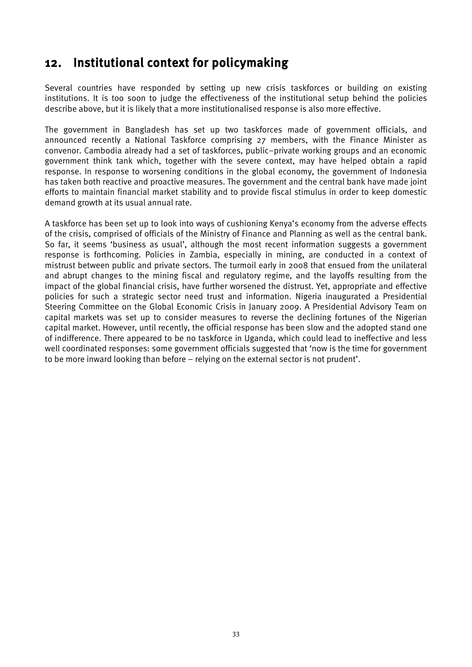## <span id="page-42-0"></span>12. Institutional context for policymaking

Several countries have responded by setting up new crisis taskforces or building on existing institutions. It is too soon to judge the effectiveness of the institutional setup behind the policies describe above, but it is likely that a more institutionalised response is also more effective.

The government in Bangladesh has set up two taskforces made of government officials, and announced recently a National Taskforce comprising 27 members, with the Finance Minister as convenor. Cambodia already had a set of taskforces, public–private working groups and an economic government think tank which, together with the severe context, may have helped obtain a rapid response. In response to worsening conditions in the global economy, the government of Indonesia has taken both reactive and proactive measures. The government and the central bank have made joint efforts to maintain financial market stability and to provide fiscal stimulus in order to keep domestic demand growth at its usual annual rate.

A taskforce has been set up to look into ways of cushioning Kenya's economy from the adverse effects of the crisis, comprised of officials of the Ministry of Finance and Planning as well as the central bank. So far, it seems 'business as usual', although the most recent information suggests a government response is forthcoming. Policies in Zambia, especially in mining, are conducted in a context of mistrust between public and private sectors. The turmoil early in 2008 that ensued from the unilateral and abrupt changes to the mining fiscal and regulatory regime, and the layoffs resulting from the impact of the global financial crisis, have further worsened the distrust. Yet, appropriate and effective policies for such a strategic sector need trust and information. Nigeria inaugurated a Presidential Steering Committee on the Global Economic Crisis in January 2009. A Presidential Advisory Team on capital markets was set up to consider measures to reverse the declining fortunes of the Nigerian capital market. However, until recently, the official response has been slow and the adopted stand one of indifference. There appeared to be no taskforce in Uganda, which could lead to ineffective and less well coordinated responses: some government officials suggested that 'now is the time for government to be more inward looking than before – relying on the external sector is not prudent'.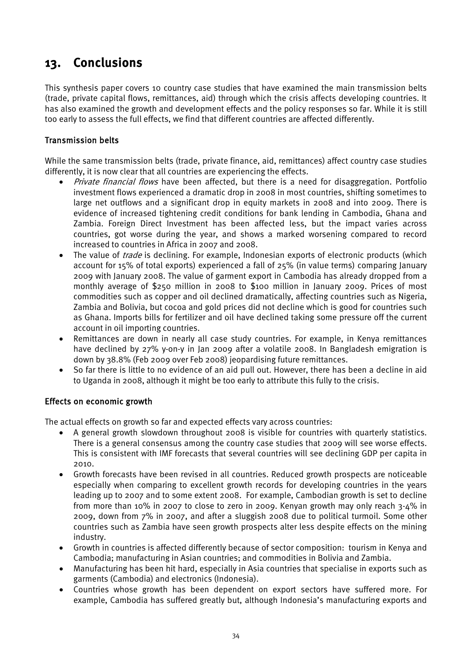# <span id="page-43-0"></span>13. Conclusions

This synthesis paper covers 10 country case studies that have examined the main transmission belts (trade, private capital flows, remittances, aid) through which the crisis affects developing countries. It has also examined the growth and development effects and the policy responses so far. While it is still too early to assess the full effects, we find that different countries are affected differently.

#### Transmission belts

While the same transmission belts (trade, private finance, aid, remittances) affect country case studies differently, it is now clear that all countries are experiencing the effects.

- *Private financial flows* have been affected, but there is a need for disaggregation. Portfolio investment flows experienced a dramatic drop in 2008 in most countries, shifting sometimes to large net outflows and a significant drop in equity markets in 2008 and into 2009. There is evidence of increased tightening credit conditions for bank lending in Cambodia, Ghana and Zambia. Foreign Direct Investment has been affected less, but the impact varies across countries, got worse during the year, and shows a marked worsening compared to record increased to countries in Africa in 2007 and 2008.
- The value of *trade* is declining. For example, Indonesian exports of electronic products (which account for 15% of total exports) experienced a fall of 25% (in value terms) comparing January 2009 with January 2008. The value of garment export in Cambodia has already dropped from a monthly average of \$250 million in 2008 to \$100 million in January 2009. Prices of most commodities such as copper and oil declined dramatically, affecting countries such as Nigeria, Zambia and Bolivia, but cocoa and gold prices did not decline which is good for countries such as Ghana. Imports bills for fertilizer and oil have declined taking some pressure off the current account in oil importing countries.
- Remittances are down in nearly all case study countries. For example, in Kenya remittances have declined by 27% y-on-y in Jan 2009 after a volatile 2008. In Bangladesh emigration is down by 38.8% (Feb 2009 over Feb 2008) jeopardising future remittances.
- So far there is little to no evidence of an aid pull out. However, there has been a decline in aid to Uganda in 2008, although it might be too early to attribute this fully to the crisis.

#### Effects on economic growth

The actual effects on growth so far and expected effects vary across countries:

- A general growth slowdown throughout 2008 is visible for countries with quarterly statistics. There is a general consensus among the country case studies that 2009 will see worse effects. This is consistent with IMF forecasts that several countries will see declining GDP per capita in 2010.
- Growth forecasts have been revised in all countries. Reduced growth prospects are noticeable especially when comparing to excellent growth records for developing countries in the years leading up to 2007 and to some extent 2008. For example, Cambodian growth is set to decline from more than 10% in 2007 to close to zero in 2009. Kenyan growth may only reach 3-4% in 2009, down from 7% in 2007, and after a sluggish 2008 due to political turmoil. Some other countries such as Zambia have seen growth prospects alter less despite effects on the mining industry.
- Growth in countries is affected differently because of sector composition: tourism in Kenya and Cambodia; manufacturing in Asian countries; and commodities in Bolivia and Zambia.
- Manufacturing has been hit hard, especially in Asia countries that specialise in exports such as garments (Cambodia) and electronics (Indonesia).
- Countries whose growth has been dependent on export sectors have suffered more. For example, Cambodia has suffered greatly but, although Indonesia's manufacturing exports and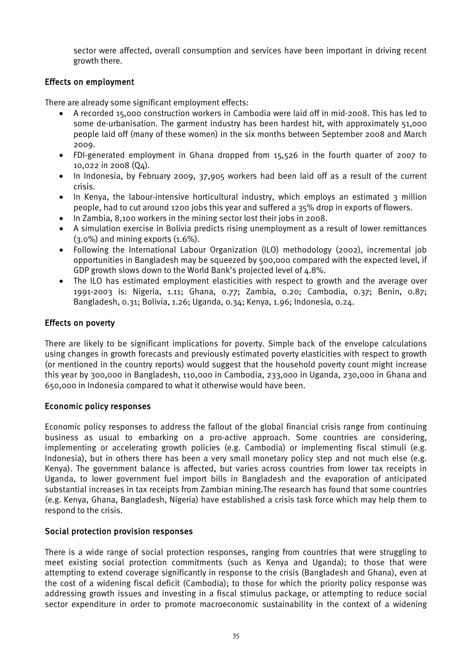sector were affected, overall consumption and services have been important in driving recent growth there.

#### Effects on employment

There are already some significant employment effects:

- A recorded 15,000 construction workers in Cambodia were laid off in mid-2008. This has led to some de-urbanisation. The garment industry has been hardest hit, with approximately 51,000 people laid off (many of these women) in the six months between September 2008 and March 2009.
- FDI-generated employment in Ghana dropped from 15,526 in the fourth quarter of 2007 to 10,022 in 2008 (Q4).
- In Indonesia, by February 2009, 37,905 workers had been laid off as a result of the current crisis.
- In Kenya, the labour-intensive horticultural industry, which employs an estimated 3 million people, had to cut around 1200 jobs this year and suffered a 35% drop in exports of flowers.
- In Zambia, 8,100 workers in the mining sector lost their jobs in 2008.
- A simulation exercise in Bolivia predicts rising unemployment as a result of lower remittances (3.0%) and mining exports (1.6%).
- Following the International Labour Organization (ILO) methodology (2002), incremental job opportunities in Bangladesh may be squeezed by 500,000 compared with the expected level, if GDP growth slows down to the World Bank's projected level of 4.8%.
- The ILO has estimated employment elasticities with respect to growth and the average over 1991-2003 is: Nigeria, 1.11; Ghana, 0.77; Zambia, 0.20; Cambodia, 0.37; Benin, 0.87; Bangladesh, 0.31; Bolivia, 1.26; Uganda, 0.34; Kenya, 1.96; Indonesia, 0.24.

#### Effects on poverty

There are likely to be significant implications for poverty. Simple back of the envelope calculations using changes in growth forecasts and previously estimated poverty elasticities with respect to growth (or mentioned in the country reports) would suggest that the household poverty count might increase this year by 300,000 in Bangladesh, 110,000 in Cambodia, 233,000 in Uganda, 230,000 in Ghana and 650,000 in Indonesia compared to what it otherwise would have been.

#### Economic policy responses

Economic policy responses to address the fallout of the global financial crisis range from continuing business as usual to embarking on a pro-active approach. Some countries are considering, implementing or accelerating growth policies (e.g. Cambodia) or implementing fiscal stimuli (e.g. Indonesia), but in others there has been a very small monetary policy step and not much else (e.g. Kenya). The government balance is affected, but varies across countries from lower tax receipts in Uganda, to lower government fuel import bills in Bangladesh and the evaporation of anticipated substantial increases in tax receipts from Zambian mining.The research has found that some countries (e.g. Kenya, Ghana, Bangladesh, Nigeria) have established a crisis task force which may help them to respond to the crisis.

#### Social protection provision responses

There is a wide range of social protection responses, ranging from countries that were struggling to meet existing social protection commitments (such as Kenya and Uganda); to those that were attempting to extend coverage significantly in response to the crisis (Bangladesh and Ghana), even at the cost of a widening fiscal deficit (Cambodia); to those for which the priority policy response was addressing growth issues and investing in a fiscal stimulus package, or attempting to reduce social sector expenditure in order to promote macroeconomic sustainability in the context of a widening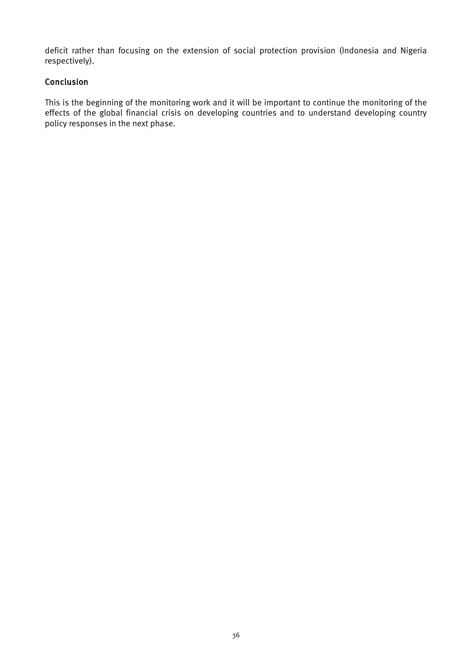deficit rather than focusing on the extension of social protection provision (Indonesia and Nigeria respectively).

#### Conclusion

This is the beginning of the monitoring work and it will be important to continue the monitoring of the effects of the global financial crisis on developing countries and to understand developing country policy responses in the next phase.